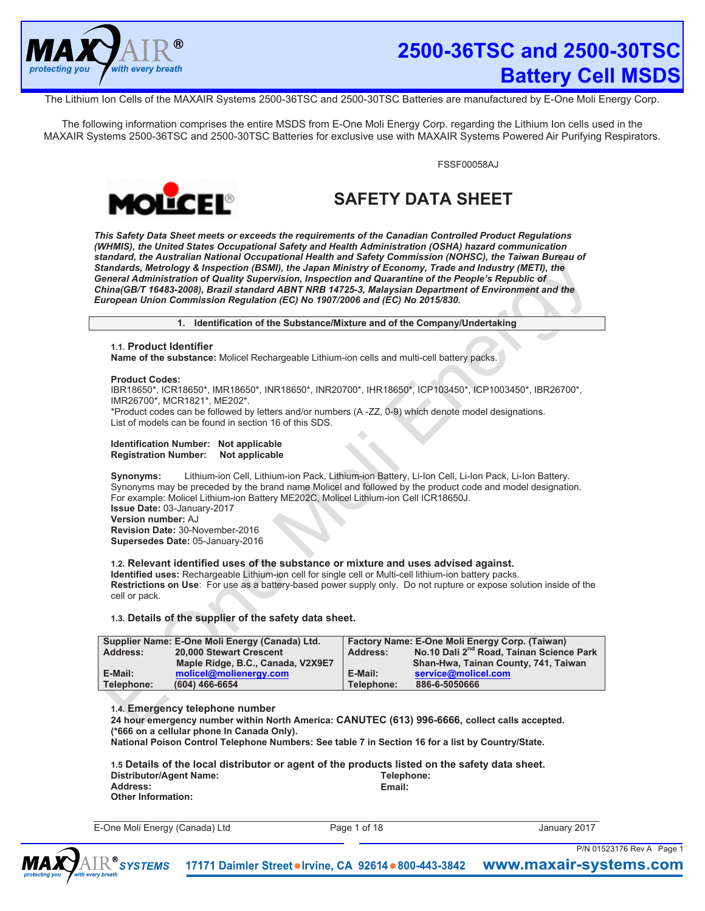

The Lithium Ion Cells of the MAXAIR Systems 2500-36TSC and 2500-30TSC Batteries are manufactured by E-One Moli Energy Corp.

The following information comprises the entire MSDS from E-One Moli Energy Corp. regarding the Lithium Ion cells used in the MAXAIR Systems 2500-36TSC and 2500-30TSC Batteries for exclusive use with MAXAIR Systems Powered Air Purifying Respirators.

FSSF00058AJ



# **SAFETY DATA SHEET**

*This Safety Data Sheet meets or exceeds the requirements of the Canadian Controlled Product Regulations (WHMIS), the United States Occupational Safety and Health Administration (OSHA) hazard communication standard, the Australian National Occupational Health and Safety Commission (NOHSC), the Taiwan Bureau of Standards, Metrology & Inspection (BSMI), the Japan Ministry of Economy, Trade and Industry (METI), the General Administration of Quality Supervision, Inspection and Quarantine of the People's Republic of China(GB/T 16483-2008), Brazil standard ABNT NRB 14725-3, Malaysian Department of Environment and the European Union Commission Regulation (EC) No 1907/2006 and (EC) No 2015/830.* 

**1. Identification of the Substance/Mixture and of the Company/Undertaking** 

# **1.1. Product Identifier**

**Name of the substance:** Molicel Rechargeable Lithium-ion cells and multi-cell battery packs.

## **Product Codes:**

IBR18650\*, ICR18650\*, IMR18650\*, INR18650\*, INR20700\*, IHR18650\*, ICP103450\*, ICP1003450\*, IBR26700\*, IMR26700\*, MCR1821\*, ME202\*.

\*Product codes can be followed by letters and/or numbers (A -ZZ, 0-9) which denote model designations. List of models can be found in section 16 of this SDS.

#### **Identification Number: Not applicable Registration Number: Not applicable**

**Synonyms:** Lithium-ion Cell, Lithium-ion Pack, Lithium-ion Battery, Li-Ion Cell, Li-Ion Pack, Li-Ion Battery. Synonyms may be preceded by the brand name Molicel and followed by the product code and model designation. For example: Molicel Lithium-ion Battery ME202C, Molicel Lithium-ion Cell ICR18650J. **Issue Date:** 03-January-2017 **Version number:** AJ **Revision Date:** 30-November-2016 **Supersedes Date:** 05-January-2016

# **1.2. Relevant identified uses of the substance or mixture and uses advised against.**

**Identified uses:** Rechargeable Lithium-ion cell for single cell or Multi-cell lithium-ion battery packs. **Restrictions on Use**: For use as a battery-based power supply only. Do not rupture or expose solution inside of the cell or pack.

# **1.3. Details of the supplier of the safety data sheet.**

| Supplier Name: E-One Moli Energy (Canada) Ltd. |                                   | Factory Name: E-One Moli Energy Corp. (Taiwan) |                                                      |
|------------------------------------------------|-----------------------------------|------------------------------------------------|------------------------------------------------------|
| Address:                                       | 20,000 Stewart Crescent           | Address:                                       | No.10 Dali 2 <sup>nd</sup> Road, Tainan Science Park |
|                                                | Maple Ridge, B.C., Canada, V2X9E7 |                                                | Shan-Hwa, Tainan County, 741, Taiwan                 |
| E-Mail:                                        | molicel@molienergy.com            | E-Mail:                                        | service@molicel.com                                  |
| Telephone:                                     | (604) 466-6654                    | Telephone:                                     | 886-6-5050666                                        |

# **1.4. Emergency telephone number**

**24 hour emergency number within North America: CANUTEC (613) 996-6666, collect calls accepted. (\*666 on a cellular phone In Canada Only).** 

**National Poison Control Telephone Numbers: See table 7 in Section 16 for a list by Country/State.** 

|                         | 1.5 Details of the local distributor or agent of the products listed on the safety data sheet. |
|-------------------------|------------------------------------------------------------------------------------------------|
| Distributor/Agent Name: | Telephone:                                                                                     |
| Address:                | Email:                                                                                         |
| Other Information:      |                                                                                                |

E-One Moli Energy (Canada) Ltd Page 1 of 18 January 2017

 $\_$  , and the state of the state of the state of the state of the state of the state of the state of the state of the state of the state of the state of the state of the state of the state of the state of the state of the

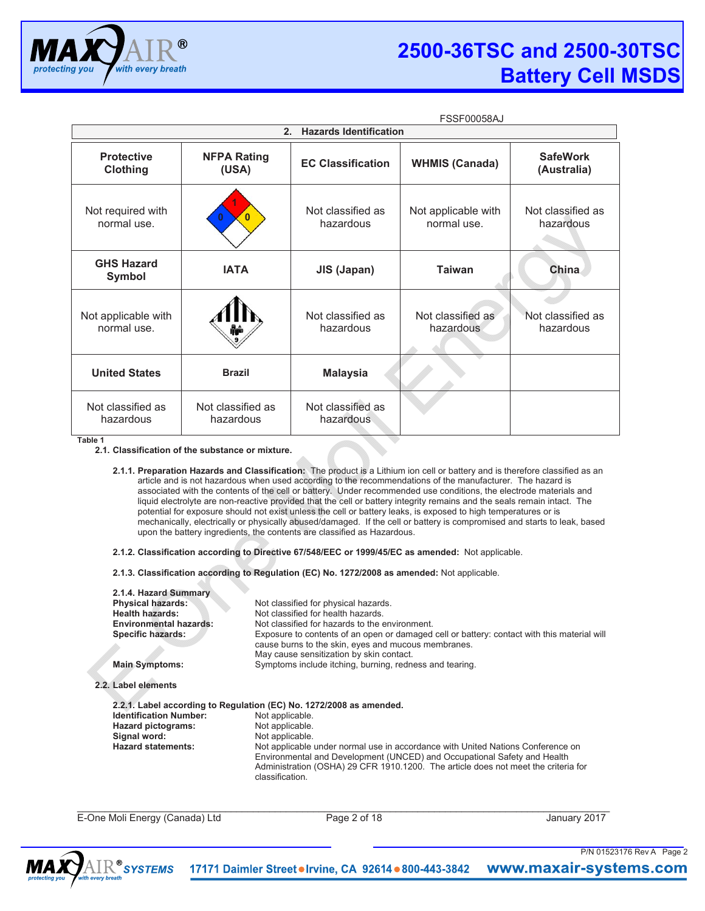

|                                    | <b>FSSF00058AJ</b>             |                                |                                    |                                |  |
|------------------------------------|--------------------------------|--------------------------------|------------------------------------|--------------------------------|--|
|                                    | 2.                             | <b>Hazards Identification</b>  |                                    |                                |  |
| <b>Protective</b><br>Clothing      | <b>NFPA Rating</b><br>(USA)    | <b>EC Classification</b>       | <b>WHMIS (Canada)</b>              | <b>SafeWork</b><br>(Australia) |  |
| Not required with<br>normal use.   | 0                              | Not classified as<br>hazardous | Not applicable with<br>normal use. | Not classified as<br>hazardous |  |
| <b>GHS Hazard</b><br><b>Symbol</b> | <b>IATA</b>                    | JIS (Japan)                    | <b>Taiwan</b>                      | China                          |  |
| Not applicable with<br>normal use. |                                | Not classified as<br>hazardous | Not classified as<br>hazardous     | Not classified as<br>hazardous |  |
| <b>United States</b>               | <b>Brazil</b>                  | <b>Malaysia</b>                |                                    |                                |  |
| Not classified as<br>hazardous     | Not classified as<br>hazardous | Not classified as<br>hazardous |                                    |                                |  |

**Table 1**

**2.1. Classification of the substance or mixture.** 

**2.1.1. Preparation Hazards and Classification:** The product is a Lithium ion cell or battery and is therefore classified as an article and is not hazardous when used according to the recommendations of the manufacturer. The hazard is associated with the contents of the cell or battery. Under recommended use conditions, the electrode materials and liquid electrolyte are non-reactive provided that the cell or battery integrity remains and the seals remain intact. The potential for exposure should not exist unless the cell or battery leaks, is exposed to high temperatures or is mechanically, electrically or physically abused/damaged. If the cell or battery is compromised and starts to leak, based upon the battery ingredients, the contents are classified as Hazardous.

**2.1.2. Classification according to Directive 67/548/EEC or 1999/45/EC as amended:** Not applicable.

**2.1.3. Classification according to Regulation (EC) No. 1272/2008 as amended:** Not applicable.

| 2.1.4. Hazard Summary<br><b>Physical hazards:</b><br><b>Health hazards:</b><br><b>Environmental hazards:</b><br>Specific hazards: | Not classified for physical hazards.<br>Not classified for health hazards<br>Not classified for hazards to the environment.<br>Exposure to contents of an open or damaged cell or battery: contact with this material will<br>cause burns to the skin, eyes and mucous membranes.<br>May cause sensitization by skin contact. |
|-----------------------------------------------------------------------------------------------------------------------------------|-------------------------------------------------------------------------------------------------------------------------------------------------------------------------------------------------------------------------------------------------------------------------------------------------------------------------------|
| <b>Main Symptoms:</b>                                                                                                             | Symptoms include itching, burning, redness and tearing.                                                                                                                                                                                                                                                                       |
| 2.2. Label elements<br><b>Identification Number:</b><br>Hazard pictograms:                                                        | 2.2.1. Label according to Regulation (EC) No. 1272/2008 as amended.<br>Not applicable.<br>Not applicable.                                                                                                                                                                                                                     |
| Signal word:                                                                                                                      | Not applicable.                                                                                                                                                                                                                                                                                                               |
| <b>Hazard statements:</b>                                                                                                         | Not applicable under normal use in accordance with United Nations Conference on<br>Environmental and Development (UNCED) and Occupational Safety and Health<br>Administration (OSHA) 29 CFR 1910.1200. The article does not meet the criteria for<br>classification.                                                          |

 $\ldots$  . The contribution of the contribution of the contribution of the contribution of the contribution of the contribution of the contribution of the contribution of the contribution of the contribution of the contribut E-One Moli Energy (Canada) Ltd Page 2 of 18 January 2017

P/N 01523176 Rev A Page 2

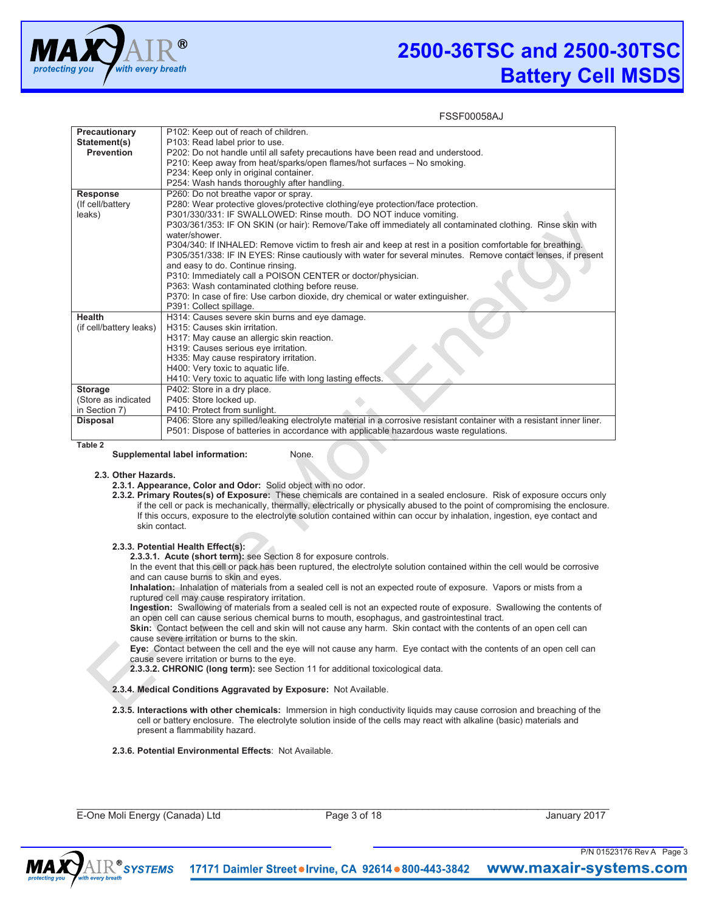

| Precautionary           | P102: Keep out of reach of children.                                                                                  |
|-------------------------|-----------------------------------------------------------------------------------------------------------------------|
| Statement(s)            | P103: Read label prior to use.                                                                                        |
| <b>Prevention</b>       | P202: Do not handle until all safety precautions have been read and understood.                                       |
|                         | P210: Keep away from heat/sparks/open flames/hot surfaces - No smoking.                                               |
|                         | P234: Keep only in original container.                                                                                |
|                         | P254: Wash hands thoroughly after handling.                                                                           |
| <b>Response</b>         | P260: Do not breathe vapor or spray.                                                                                  |
| (If cell/battery        | P280: Wear protective gloves/protective clothing/eye protection/face protection.                                      |
| leaks)                  | P301/330/331: IF SWALLOWED: Rinse mouth. DO NOT induce vomiting.                                                      |
|                         | P303/361/353: IF ON SKIN (or hair): Remove/Take off immediately all contaminated clothing. Rinse skin with            |
|                         | water/shower.                                                                                                         |
|                         | P304/340: If INHALED: Remove victim to fresh air and keep at rest in a position comfortable for breathing.            |
|                         | P305/351/338: IF IN EYES: Rinse cautiously with water for several minutes. Remove contact lenses, if present          |
|                         | and easy to do. Continue rinsing.                                                                                     |
|                         | P310: Immediately call a POISON CENTER or doctor/physician.                                                           |
|                         | P363: Wash contaminated clothing before reuse.                                                                        |
|                         | P370: In case of fire: Use carbon dioxide, dry chemical or water extinguisher.                                        |
|                         | P391: Collect spillage.                                                                                               |
| <b>Health</b>           | H314: Causes severe skin burns and eye damage.                                                                        |
| (if cell/battery leaks) | H315: Causes skin irritation.                                                                                         |
|                         | H317: May cause an allergic skin reaction.                                                                            |
|                         | H319: Causes serious eye irritation.                                                                                  |
|                         | H335: May cause respiratory irritation.                                                                               |
|                         | H400: Very toxic to aquatic life.                                                                                     |
|                         | H410: Very toxic to aquatic life with long lasting effects.                                                           |
| <b>Storage</b>          | P402: Store in a dry place.                                                                                           |
| (Store as indicated     | P405: Store locked up.                                                                                                |
| in Section 7)           | P410: Protect from sunlight.                                                                                          |
| <b>Disposal</b>         | P406: Store any spilled/leaking electrolyte material in a corrosive resistant container with a resistant inner liner. |
|                         | P501: Dispose of batteries in accordance with applicable hazardous waste regulations.                                 |
| Table 2                 |                                                                                                                       |

**Supplemental label information:** None.

#### **2.3. Other Hazards.**

**2.3.1. Appearance, Color and Odor:** Solid object with no odor.

**2.3.2. Primary Routes(s) of Exposure:** These chemicals are contained in a sealed enclosure. Risk of exposure occurs only if the cell or pack is mechanically, thermally, electrically or physically abused to the point of compromising the enclosure. If this occurs, exposure to the electrolyte solution contained within can occur by inhalation, ingestion, eye contact and skin contact.

# **2.3.3. Potential Health Effect(s):**

**2.3.3.1. Acute (short term):** see Section 8 for exposure controls.

In the event that this cell or pack has been ruptured, the electrolyte solution contained within the cell would be corrosive and can cause burns to skin and eyes.

**Inhalation:** Inhalation of materials from a sealed cell is not an expected route of exposure. Vapors or mists from a ruptured cell may cause respiratory irritation.

**Ingestion:** Swallowing of materials from a sealed cell is not an expected route of exposure. Swallowing the contents of an open cell can cause serious chemical burns to mouth, esophagus, and gastrointestinal tract.

**Skin:** Contact between the cell and skin will not cause any harm. Skin contact with the contents of an open cell can cause severe irritation or burns to the skin.

**Eye:** Contact between the cell and the eye will not cause any harm. Eye contact with the contents of an open cell can cause severe irritation or burns to the eye.

**2.3.3.2. CHRONIC (long term):** see Section 11 for additional toxicological data.

#### **2.3.4. Medical Conditions Aggravated by Exposure:** Not Available.

**2.3.5. Interactions with other chemicals:** Immersion in high conductivity liquids may cause corrosion and breaching of the cell or battery enclosure. The electrolyte solution inside of the cells may react with alkaline (basic) materials and present a flammability hazard.

# **2.3.6. Potential Environmental Effects**: Not Available.

E-One Moli Energy (Canada) Ltd Page 3 of 18 January 2017

 $\_$  ,  $\_$  ,  $\_$  ,  $\_$  ,  $\_$  ,  $\_$  ,  $\_$  ,  $\_$  ,  $\_$  ,  $\_$  ,  $\_$  ,  $\_$  ,  $\_$  ,  $\_$  ,  $\_$  ,  $\_$  ,  $\_$  ,  $\_$  ,  $\_$  ,  $\_$  ,  $\_$  ,  $\_$  ,  $\_$  ,  $\_$  ,  $\_$  ,  $\_$  ,  $\_$  ,  $\_$  ,  $\_$  ,  $\_$  ,  $\_$  ,  $\_$  ,  $\_$  ,  $\_$  ,  $\_$  ,  $\_$  ,  $\_$  ,

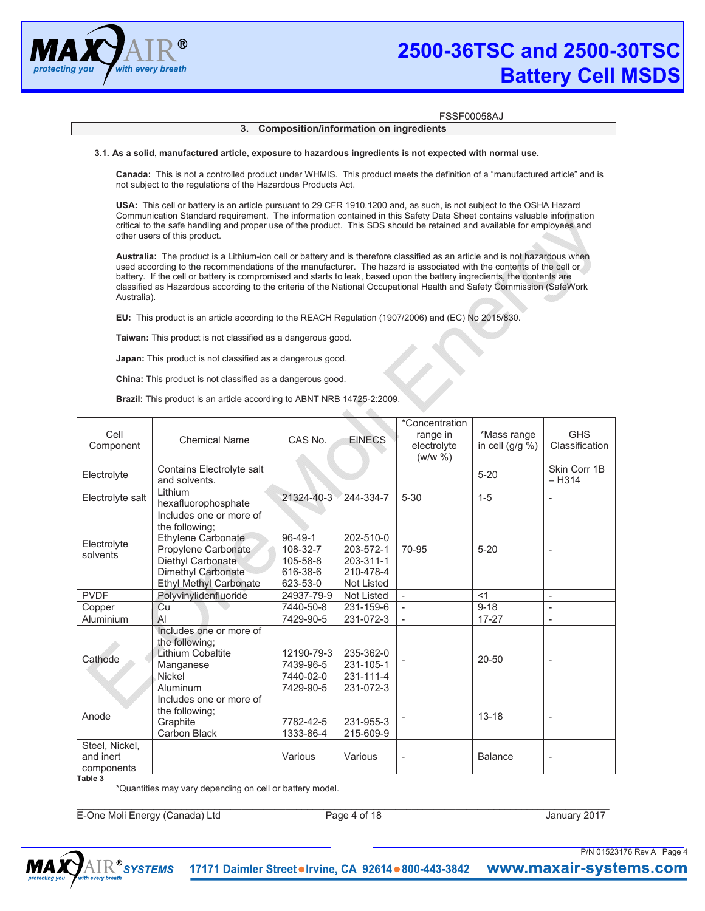

# FSSF00058AJ

# **3. Composition/information on ingredients**

#### **3.1. As a solid, manufactured article, exposure to hazardous ingredients is not expected with normal use.**

**Canada:** This is not a controlled product under WHMIS. This product meets the definition of a "manufactured article" and is not subject to the regulations of the Hazardous Products Act.

**USA:** This cell or battery is an article pursuant to 29 CFR 1910.1200 and, as such, is not subject to the OSHA Hazard Communication Standard requirement. The information contained in this Safety Data Sheet contains valuable information critical to the safe handling and proper use of the product. This SDS should be retained and available for employees and other users of this product.

**Australia:** The product is a Lithium-ion cell or battery and is therefore classified as an article and is not hazardous when used according to the recommendations of the manufacturer. The hazard is associated with the contents of the cell or battery. If the cell or battery is compromised and starts to leak, based upon the battery ingredients, the contents are classified as Hazardous according to the criteria of the National Occupational Health and Safety Commission (SafeWork Australia).

**EU:** This product is an article according to the REACH Regulation (1907/2006) and (EC) No 2015/830.

**Taiwan:** This product is not classified as a dangerous good.

**Japan:** This product is not classified as a dangerous good.

**China:** This product is not classified as a dangerous good.

**Brazil:** This product is an article according to ABNT NRB 14725-2:2009.

| Cell<br>Component                                    | <b>Chemical Name</b>                                                                                                                                               | CAS No.                                                 | <b>EINECS</b>                                                  | *Concentration<br>range in<br>electrolyte<br>(w/w %) | *Mass range<br>in cell $(g/g %)$ | <b>GHS</b><br>Classification |
|------------------------------------------------------|--------------------------------------------------------------------------------------------------------------------------------------------------------------------|---------------------------------------------------------|----------------------------------------------------------------|------------------------------------------------------|----------------------------------|------------------------------|
| Electrolyte                                          | Contains Electrolyte salt<br>and solvents.                                                                                                                         |                                                         |                                                                |                                                      | $5 - 20$                         | Skin Corr 1B<br>$-$ H314     |
| Electrolyte salt                                     | Lithium<br>hexafluorophosphate                                                                                                                                     | 21324-40-3                                              | 244-334-7                                                      | $5 - 30$                                             | $1 - 5$                          | $\overline{\phantom{a}}$     |
| Electrolyte<br>solvents                              | Includes one or more of<br>the following:<br>Ethylene Carbonate<br>Propylene Carbonate<br>Diethyl Carbonate<br>Dimethyl Carbonate<br><b>Ethyl Methyl Carbonate</b> | 96-49-1<br>108-32-7<br>105-58-8<br>616-38-6<br>623-53-0 | 202-510-0<br>203-572-1<br>203-311-1<br>210-478-4<br>Not Listed | 70-95                                                | $5 - 20$                         | $\blacksquare$               |
| <b>PVDF</b>                                          | Polyvinylidenfluoride                                                                                                                                              | 24937-79-9                                              | <b>Not Listed</b>                                              |                                                      | <1                               | $\blacksquare$               |
| Copper                                               | Cu                                                                                                                                                                 | 7440-50-8                                               | 231-159-6                                                      |                                                      | $9 - 18$                         | ÷,                           |
| Aluminium                                            | AI                                                                                                                                                                 | 7429-90-5                                               | 231-072-3                                                      |                                                      | $17 - 27$                        | ÷,                           |
| Cathode                                              | Includes one or more of<br>the following:<br><b>Lithium Cobaltite</b><br>Manganese<br><b>Nickel</b><br>Aluminum                                                    | 12190-79-3<br>7439-96-5<br>7440-02-0<br>7429-90-5       | 235-362-0<br>231-105-1<br>231-111-4<br>231-072-3               |                                                      | $20 - 50$                        |                              |
| Anode                                                | Includes one or more of<br>the following;<br>Graphite<br><b>Carbon Black</b>                                                                                       | 7782-42-5<br>1333-86-4                                  | 231-955-3<br>215-609-9                                         |                                                      | $13 - 18$                        | $\overline{\phantom{0}}$     |
| Steel, Nickel,<br>and inert<br>components<br>Table 3 |                                                                                                                                                                    | Various                                                 | Various                                                        | $\overline{\phantom{m}}$                             | <b>Balance</b>                   | $\overline{\phantom{a}}$     |

\*Quantities may vary depending on cell or battery model.

E-One Moli Energy (Canada) Ltd Page 4 of 18 January 2017

 $\_$  ,  $\_$  ,  $\_$  ,  $\_$  ,  $\_$  ,  $\_$  ,  $\_$  ,  $\_$  ,  $\_$  ,  $\_$  ,  $\_$  ,  $\_$  ,  $\_$  ,  $\_$  ,  $\_$  ,  $\_$  ,  $\_$  ,  $\_$  ,  $\_$  ,  $\_$  ,  $\_$  ,  $\_$  ,  $\_$  ,  $\_$  ,  $\_$  ,  $\_$  ,  $\_$  ,  $\_$  ,  $\_$  ,  $\_$  ,  $\_$  ,  $\_$  ,  $\_$  ,  $\_$  ,  $\_$  ,  $\_$  ,  $\_$  ,

P/N 01523176 Rev A Page 4

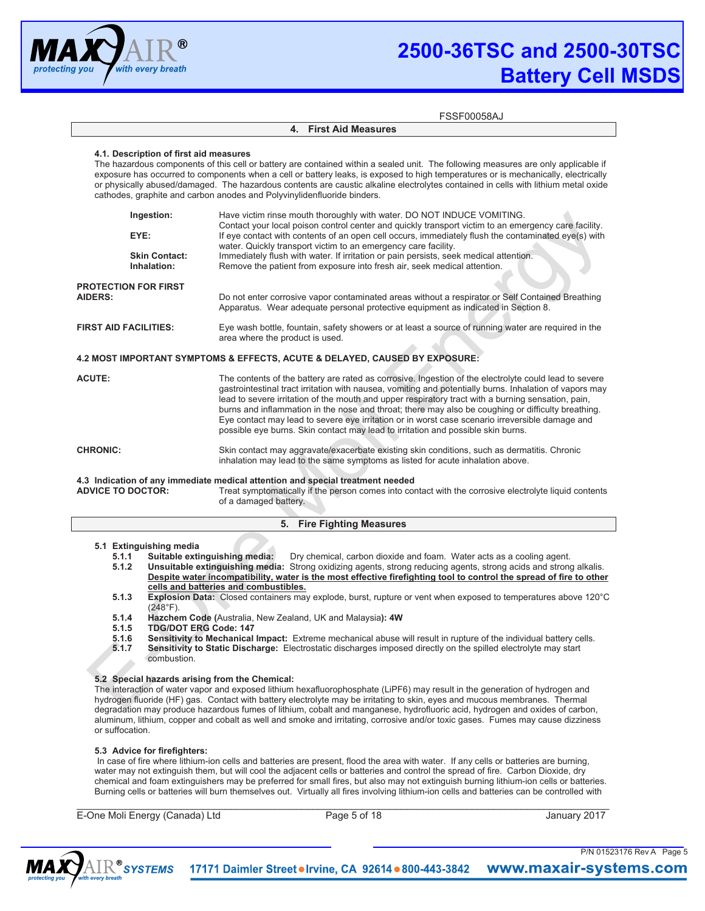

#### **4. First Aid Measures**

# **4.1. Description of first aid measures**

The hazardous components of this cell or battery are contained within a sealed unit. The following measures are only applicable if exposure has occurred to components when a cell or battery leaks, is exposed to high temperatures or is mechanically, electrically or physically abused/damaged. The hazardous contents are caustic alkaline electrolytes contained in cells with lithium metal oxide cathodes, graphite and carbon anodes and Polyvinylidenfluoride binders.

|                                               | Ingestion:                          | Have victim rinse mouth thoroughly with water. DO NOT INDUCE VOMITING.<br>Contact your local poison control center and quickly transport victim to an emergency care facility.                                                                                                                                                                                                                                                                                                                                                                                                                                      |  |
|-----------------------------------------------|-------------------------------------|---------------------------------------------------------------------------------------------------------------------------------------------------------------------------------------------------------------------------------------------------------------------------------------------------------------------------------------------------------------------------------------------------------------------------------------------------------------------------------------------------------------------------------------------------------------------------------------------------------------------|--|
| EYE:                                          |                                     | If eye contact with contents of an open cell occurs, immediately flush the contaminated eye(s) with<br>water. Quickly transport victim to an emergency care facility.                                                                                                                                                                                                                                                                                                                                                                                                                                               |  |
|                                               | <b>Skin Contact:</b><br>Inhalation: | Immediately flush with water. If irritation or pain persists, seek medical attention.<br>Remove the patient from exposure into fresh air, seek medical attention.                                                                                                                                                                                                                                                                                                                                                                                                                                                   |  |
| <b>PROTECTION FOR FIRST</b><br><b>AIDERS:</b> |                                     | Do not enter corrosive vapor contaminated areas without a respirator or Self Contained Breathing<br>Apparatus. Wear adequate personal protective equipment as indicated in Section 8.                                                                                                                                                                                                                                                                                                                                                                                                                               |  |
| <b>FIRST AID FACILITIES:</b>                  |                                     | Eye wash bottle, fountain, safety showers or at least a source of running water are required in the<br>area where the product is used.                                                                                                                                                                                                                                                                                                                                                                                                                                                                              |  |
|                                               |                                     | 4.2 MOST IMPORTANT SYMPTOMS & EFFECTS, ACUTE & DELAYED, CAUSED BY EXPOSURE:                                                                                                                                                                                                                                                                                                                                                                                                                                                                                                                                         |  |
| <b>ACUTE:</b>                                 |                                     | The contents of the battery are rated as corrosive. Ingestion of the electrolyte could lead to severe<br>gastrointestinal tract irritation with nausea, vomiting and potentially burns. Inhalation of vapors may<br>lead to severe irritation of the mouth and upper respiratory tract with a burning sensation, pain,<br>burns and inflammation in the nose and throat; there may also be coughing or difficulty breathing.<br>Eye contact may lead to severe eye irritation or in worst case scenario irreversible damage and<br>possible eye burns. Skin contact may lead to irritation and possible skin burns. |  |
| <b>CHRONIC:</b>                               |                                     | Skin contact may aggravate/exacerbate existing skin conditions, such as dermatitis. Chronic<br>inhalation may lead to the same symptoms as listed for acute inhalation above.                                                                                                                                                                                                                                                                                                                                                                                                                                       |  |

# **4.3 Indication of any immediate medical attention and special treatment needed**  Treat symptomatically if the person comes into contact with the corrosive electrolyte liquid contents of a damaged battery.

# **5. Fire Fighting Measures**

- **5.1 Extinguishing media 5.1.1** Suitable extinguishing media: Dry chemical, carbon dioxide and foam. Water acts as a cooling agent.<br>**5.1.2** Unsuitable extinguishing media: Strong oxidizing agents, strong reducing agents, strong acids and strong
	- **5.1.2 Unsuitable extinguishing media:** Strong oxidizing agents, strong reducing agents, strong acids and strong alkalis. **Despite water incompatibility, water is the most effective firefighting tool to control the spread of fire to other cells and batteries and combustibles.**
	- **5.1.3 Explosion Data:** Closed containers may explode, burst, rupture or vent when exposed to temperatures above 120°C (248°F).
	- **5.1.4 Hazchem Code (**Australia, New Zealand, UK and Malaysia**): 4W**
	- **5.1.5 TDG/DOT ERG Code: 147**
	- **5.1.6 Sensitivity to Mechanical Impact:** Extreme mechanical abuse will result in rupture of the individual battery cells.<br>**5.1.7** Sensitivity to Static Discharge: Electrostatic discharges imposed directly on the spilled e
	- **Sensitivity to Static Discharge:** Electrostatic discharges imposed directly on the spilled electrolyte may start combustion.

# **5.2 Special hazards arising from the Chemical:**

The interaction of water vapor and exposed lithium hexafluorophosphate (LiPF6) may result in the generation of hydrogen and hydrogen fluoride (HF) gas. Contact with battery electrolyte may be irritating to skin, eyes and mucous membranes. Thermal degradation may produce hazardous fumes of lithium, cobalt and manganese, hydrofluoric acid, hydrogen and oxides of carbon, aluminum, lithium, copper and cobalt as well and smoke and irritating, corrosive and/or toxic gases. Fumes may cause dizziness or suffocation.

# **5.3 Advice for firefighters:**

In case of fire where lithium-ion cells and batteries are present, flood the area with water. If any cells or batteries are burning, water may not extinguish them, but will cool the adjacent cells or batteries and control the spread of fire. Carbon Dioxide, dry chemical and foam extinguishers may be preferred for small fires, but also may not extinguish burning lithium-ion cells or batteries. Burning cells or batteries will burn themselves out. Virtually all fires involving lithium-ion cells and batteries can be controlled with

 $\_$  ,  $\_$  ,  $\_$  ,  $\_$  ,  $\_$  ,  $\_$  ,  $\_$  ,  $\_$  ,  $\_$  ,  $\_$  ,  $\_$  ,  $\_$  ,  $\_$  ,  $\_$  ,  $\_$  ,  $\_$  ,  $\_$  ,  $\_$  ,  $\_$  ,  $\_$  ,  $\_$  ,  $\_$  ,  $\_$  ,  $\_$  ,  $\_$  ,  $\_$  ,  $\_$  ,  $\_$  ,  $\_$  ,  $\_$  ,  $\_$  ,  $\_$  ,  $\_$  ,  $\_$  ,  $\_$  ,  $\_$  ,  $\_$  ,

E-One Moli Energy (Canada) Ltd Page 5 of 18 January 2017

P/N 01523176 Rev A Page 5

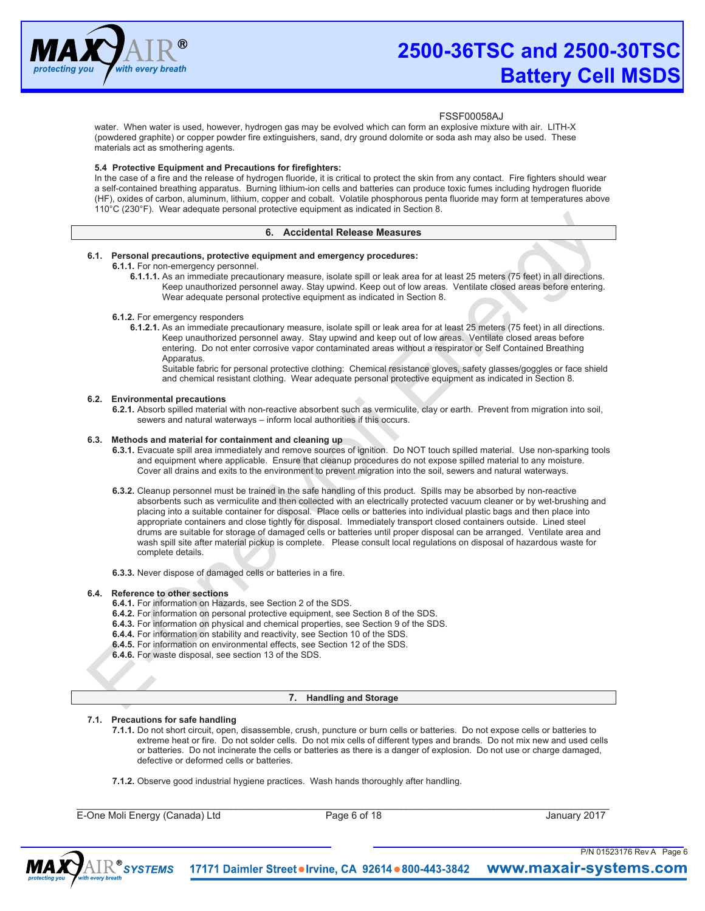

water. When water is used, however, hydrogen gas may be evolved which can form an explosive mixture with air. LITH-X (powdered graphite) or copper powder fire extinguishers, sand, dry ground dolomite or soda ash may also be used. These materials act as smothering agents.

# **5.4 Protective Equipment and Precautions for firefighters:**

In the case of a fire and the release of hydrogen fluoride, it is critical to protect the skin from any contact. Fire fighters should wear a self-contained breathing apparatus. Burning lithium-ion cells and batteries can produce toxic fumes including hydrogen fluoride (HF), oxides of carbon, aluminum, lithium, copper and cobalt. Volatile phosphorous penta fluoride may form at temperatures above 110°C (230°F). Wear adequate personal protective equipment as indicated in Section 8.

# **6. Accidental Release Measures**

# **6.1. Personal precautions, protective equipment and emergency procedures:**

**6.1.1.** For non-emergency personnel.

**6.1.1.1.** As an immediate precautionary measure, isolate spill or leak area for at least 25 meters (75 feet) in all directions. Keep unauthorized personnel away. Stay upwind. Keep out of low areas. Ventilate closed areas before entering. Wear adequate personal protective equipment as indicated in Section 8.

#### **6.1.2.** For emergency responders

**6.1.2.1.** As an immediate precautionary measure, isolate spill or leak area for at least 25 meters (75 feet) in all directions. Keep unauthorized personnel away. Stay upwind and keep out of low areas. Ventilate closed areas before entering. Do not enter corrosive vapor contaminated areas without a respirator or Self Contained Breathing **Apparatus** 

Suitable fabric for personal protective clothing: Chemical resistance gloves, safety glasses/goggles or face shield and chemical resistant clothing. Wear adequate personal protective equipment as indicated in Section 8.

#### **6.2. Environmental precautions**

**6.2.1.** Absorb spilled material with non-reactive absorbent such as vermiculite, clay or earth. Prevent from migration into soil, sewers and natural waterways – inform local authorities if this occurs.

# **6.3. Methods and material for containment and cleaning up**

- **6.3.1.** Evacuate spill area immediately and remove sources of ignition. Do NOT touch spilled material. Use non-sparking tools and equipment where applicable. Ensure that cleanup procedures do not expose spilled material to any moisture. Cover all drains and exits to the environment to prevent migration into the soil, sewers and natural waterways.
- **6.3.2.** Cleanup personnel must be trained in the safe handling of this product. Spills may be absorbed by non-reactive absorbents such as vermiculite and then collected with an electrically protected vacuum cleaner or by wet-brushing and placing into a suitable container for disposal. Place cells or batteries into individual plastic bags and then place into appropriate containers and close tightly for disposal. Immediately transport closed containers outside. Lined steel drums are suitable for storage of damaged cells or batteries until proper disposal can be arranged. Ventilate area and wash spill site after material pickup is complete. Please consult local regulations on disposal of hazardous waste for complete details.
- **6.3.3.** Never dispose of damaged cells or batteries in a fire.

# **6.4. Reference to other sections**

- **6.4.1.** For information on Hazards, see Section 2 of the SDS.
- **6.4.2.** For information on personal protective equipment, see Section 8 of the SDS.
- **6.4.3.** For information on physical and chemical properties, see Section 9 of the SDS.
- **6.4.4.** For information on stability and reactivity, see Section 10 of the SDS.
- **6.4.5.** For information on environmental effects, see Section 12 of the SDS.
- **6.4.6.** For waste disposal, see section 13 of the SDS.

### **7. Handling and Storage**

# **7.1. Precautions for safe handling**

**7.1.1.** Do not short circuit, open, disassemble, crush, puncture or burn cells or batteries. Do not expose cells or batteries to extreme heat or fire. Do not solder cells. Do not mix cells of different types and brands. Do not mix new and used cells or batteries. Do not incinerate the cells or batteries as there is a danger of explosion. Do not use or charge damaged, defective or deformed cells or batteries.

**7.1.2.** Observe good industrial hygiene practices. Wash hands thoroughly after handling.

E-One Moli Energy (Canada) Ltd Page 6 of 18 January 2017

 $\_$  ,  $\_$  ,  $\_$  ,  $\_$  ,  $\_$  ,  $\_$  ,  $\_$  ,  $\_$  ,  $\_$  ,  $\_$  ,  $\_$  ,  $\_$  ,  $\_$  ,  $\_$  ,  $\_$  ,  $\_$  ,  $\_$  ,  $\_$  ,  $\_$  ,  $\_$  ,  $\_$  ,  $\_$  ,  $\_$  ,  $\_$  ,  $\_$  ,  $\_$  ,  $\_$  ,  $\_$  ,  $\_$  ,  $\_$  ,  $\_$  ,  $\_$  ,  $\_$  ,  $\_$  ,  $\_$  ,  $\_$  ,  $\_$  ,

P/N 01523176 Rev A Page 6

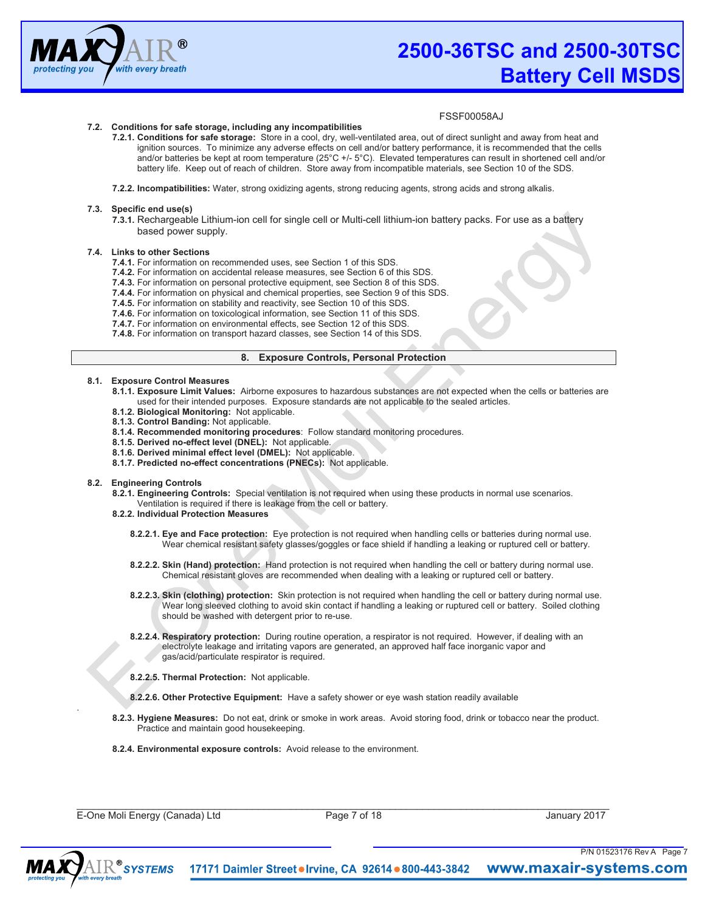

# **7.2. Conditions for safe storage, including any incompatibilities**

- **7.2.1. Conditions for safe storage:** Store in a cool, dry, well-ventilated area, out of direct sunlight and away from heat and ignition sources. To minimize any adverse effects on cell and/or battery performance, it is recommended that the cells and/or batteries be kept at room temperature (25°C +/- 5°C). Elevated temperatures can result in shortened cell and/or battery life. Keep out of reach of children. Store away from incompatible materials, see Section 10 of the SDS.
- **7.2.2. Incompatibilities:** Water, strong oxidizing agents, strong reducing agents, strong acids and strong alkalis.

#### **7.3. Specific end use(s)**

**7.3.1.** Rechargeable Lithium-ion cell for single cell or Multi-cell lithium-ion battery packs. For use as a battery based power supply.

#### **7.4. Links to other Sections**

- **7.4.1.** For information on recommended uses, see Section 1 of this SDS.
- **7.4.2.** For information on accidental release measures, see Section 6 of this SDS.
- **7.4.3.** For information on personal protective equipment, see Section 8 of this SDS.
- **7.4.4.** For information on physical and chemical properties, see Section 9 of this SDS.
- **7.4.5.** For information on stability and reactivity, see Section 10 of this SDS.
- **7.4.6.** For information on toxicological information, see Section 11 of this SDS.
- **7.4.7.** For information on environmental effects, see Section 12 of this SDS.
- **7.4.8.** For information on transport hazard classes, see Section 14 of this SDS.

# **8. Exposure Controls, Personal Protection**

# **8.1. Exposure Control Measures**

- **8.1.1. Exposure Limit Values:** Airborne exposures to hazardous substances are not expected when the cells or batteries are used for their intended purposes. Exposure standards are not applicable to the sealed articles.
- **8.1.2. Biological Monitoring:** Not applicable.
- **8.1.3. Control Banding:** Not applicable.
- **8.1.4. Recommended monitoring procedures**: Follow standard monitoring procedures.
- **8.1.5. Derived no-effect level (DNEL):** Not applicable.
- **8.1.6. Derived minimal effect level (DMEL):** Not applicable.
- **8.1.7. Predicted no-effect concentrations (PNECs):** Not applicable.

#### **8.2. Engineering Controls**

- **8.2.1. Engineering Controls:** Special ventilation is not required when using these products in normal use scenarios. Ventilation is required if there is leakage from the cell or battery.
- **8.2.2. Individual Protection Measures** 
	- **8.2.2.1. Eye and Face protection:** Eye protection is not required when handling cells or batteries during normal use. Wear chemical resistant safety glasses/goggles or face shield if handling a leaking or ruptured cell or battery.
	- **8.2.2.2. Skin (Hand) protection:** Hand protection is not required when handling the cell or battery during normal use. Chemical resistant gloves are recommended when dealing with a leaking or ruptured cell or battery.
	- **8.2.2.3. Skin (clothing) protection:** Skin protection is not required when handling the cell or battery during normal use. Wear long sleeved clothing to avoid skin contact if handling a leaking or ruptured cell or battery. Soiled clothing should be washed with detergent prior to re-use.
	- **8.2.2.4. Respiratory protection:** During routine operation, a respirator is not required. However, if dealing with an electrolyte leakage and irritating vapors are generated, an approved half face inorganic vapor and gas/acid/particulate respirator is required.
	- **8.2.2.5. Thermal Protection:** Not applicable.
	- **8.2.2.6. Other Protective Equipment:** Have a safety shower or eye wash station readily available
- **8.2.3. Hygiene Measures:** Do not eat, drink or smoke in work areas. Avoid storing food, drink or tobacco near the product. Practice and maintain good housekeeping.

**8.2.4. Environmental exposure controls:** Avoid release to the environment.

E-One Moli Energy (Canada) Ltd Page 7 of 18 January 2017

 $\_$  ,  $\_$  ,  $\_$  ,  $\_$  ,  $\_$  ,  $\_$  ,  $\_$  ,  $\_$  ,  $\_$  ,  $\_$  ,  $\_$  ,  $\_$  ,  $\_$  ,  $\_$  ,  $\_$  ,  $\_$  ,  $\_$  ,  $\_$  ,  $\_$  ,  $\_$  ,  $\_$  ,  $\_$  ,  $\_$  ,  $\_$  ,  $\_$  ,  $\_$  ,  $\_$  ,  $\_$  ,  $\_$  ,  $\_$  ,  $\_$  ,  $\_$  ,  $\_$  ,  $\_$  ,  $\_$  ,  $\_$  ,  $\_$  ,

P/N 01523176 Rev A Page 7



.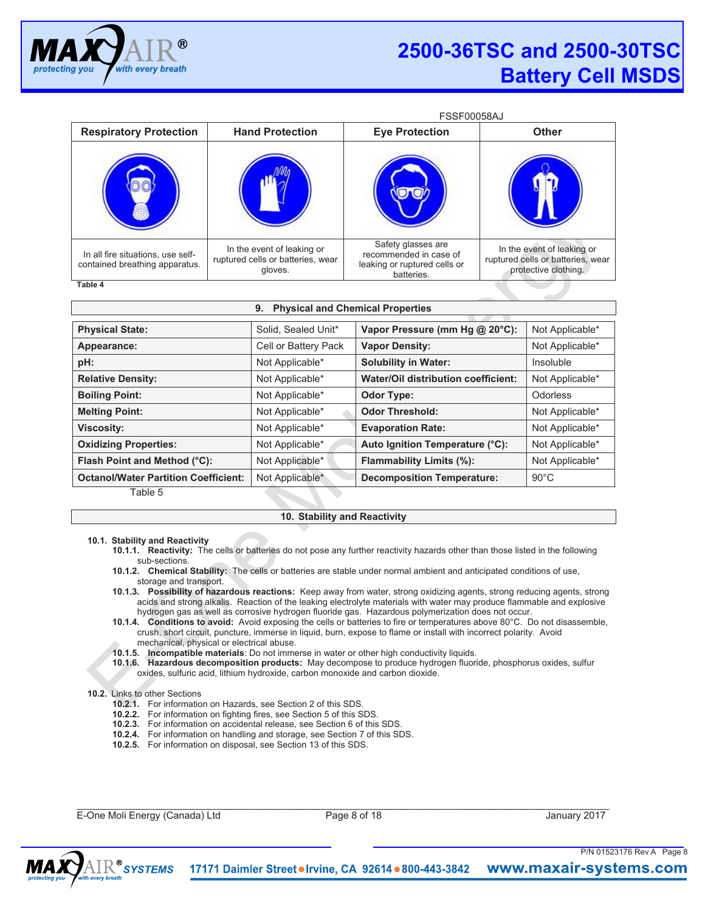

|                                                                          |                                                                            | <b>FSSF00058AJ</b>                                                                         |                                                                                         |
|--------------------------------------------------------------------------|----------------------------------------------------------------------------|--------------------------------------------------------------------------------------------|-----------------------------------------------------------------------------------------|
| <b>Respiratory Protection</b>                                            | <b>Hand Protection</b>                                                     | <b>Eye Protection</b>                                                                      | <b>Other</b>                                                                            |
|                                                                          |                                                                            |                                                                                            |                                                                                         |
| In all fire situations, use self-<br>contained breathing apparatus.<br>- | In the event of leaking or<br>ruptured cells or batteries, wear<br>gloves. | Safety glasses are<br>recommended in case of<br>leaking or ruptured cells or<br>batteries. | In the event of leaking or<br>ruptured cells or batteries, wear<br>protective clothing. |

**Table 4** 

| <b>Physical and Chemical Properties</b><br>9. |                      |                                     |                 |  |
|-----------------------------------------------|----------------------|-------------------------------------|-----------------|--|
| <b>Physical State:</b>                        | Solid, Sealed Unit*  | Vapor Pressure (mm Hg @ 20°C):      | Not Applicable* |  |
| Appearance:                                   | Cell or Battery Pack | <b>Vapor Density:</b>               | Not Applicable* |  |
| pH:                                           | Not Applicable*      | <b>Solubility in Water:</b>         | Insoluble       |  |
| <b>Relative Density:</b>                      | Not Applicable*      | Water/Oil distribution coefficient: | Not Applicable* |  |
| <b>Boiling Point:</b>                         | Not Applicable*      | <b>Odor Type:</b>                   | Odorless        |  |
| <b>Melting Point:</b>                         | Not Applicable*      | <b>Odor Threshold:</b>              | Not Applicable* |  |
| <b>Viscosity:</b>                             | Not Applicable*      | <b>Evaporation Rate:</b>            | Not Applicable* |  |
| <b>Oxidizing Properties:</b>                  | Not Applicable*      | Auto Ignition Temperature (°C):     | Not Applicable* |  |
| Flash Point and Method (°C):                  | Not Applicable*      | Flammability Limits (%):            | Not Applicable* |  |
| <b>Octanol/Water Partition Coefficient:</b>   | Not Applicable*      | <b>Decomposition Temperature:</b>   | $90^{\circ}$ C  |  |
| Table 5                                       |                      |                                     |                 |  |

# **10. Stability and Reactivity**

# **10.1. Stability and Reactivity**

- **10.1.1. Reactivity:** The cells or batteries do not pose any further reactivity hazards other than those listed in the following sub-sections.
- **10.1.2. Chemical Stability:** The cells or batteries are stable under normal ambient and anticipated conditions of use, storage and transport.
- **10.1.3. Possibility of hazardous reactions:** Keep away from water, strong oxidizing agents, strong reducing agents, strong acids and strong alkalis. Reaction of the leaking electrolyte materials with water may produce flammable and explosive hydrogen gas as well as corrosive hydrogen fluoride gas. Hazardous polymerization does not occur.
- **10.1.4. Conditions to avoid:** Avoid exposing the cells or batteries to fire or temperatures above 80°C. Do not disassemble, crush, short circuit, puncture, immerse in liquid, burn, expose to flame or install with incorrect polarity. Avoid mechanical, physical or electrical abuse.
- 
- **10.1.5. Incompatible materials**: Do not immerse in water or other high conductivity liquids.
- **10.1.6. Hazardous decomposition products:** May decompose to produce hydrogen fluoride, phosphorus oxides, sulfur oxides, sulfuric acid, lithium hydroxide, carbon monoxide and carbon dioxide.

# **10.2.** Links to other Sections

- **10.2.1.** For information on Hazards, see Section 2 of this SDS.
- **10.2.2.** For information on fighting fires, see Section 5 of this SDS.
- **10.2.3.** For information on accidental release, see Section 6 of this SDS.
- **10.2.4.** For information on handling and storage, see Section 7 of this SDS.
- **10.2.5.** For information on disposal, see Section 13 of this SDS.

E-One Moli Energy (Canada) Ltd Page 8 of 18 January 2017

 $\_$  ,  $\_$  ,  $\_$  ,  $\_$  ,  $\_$  ,  $\_$  ,  $\_$  ,  $\_$  ,  $\_$  ,  $\_$  ,  $\_$  ,  $\_$  ,  $\_$  ,  $\_$  ,  $\_$  ,  $\_$  ,  $\_$  ,  $\_$  ,  $\_$  ,  $\_$  ,  $\_$  ,  $\_$  ,  $\_$  ,  $\_$  ,  $\_$  ,  $\_$  ,  $\_$  ,  $\_$  ,  $\_$  ,  $\_$  ,  $\_$  ,  $\_$  ,  $\_$  ,  $\_$  ,  $\_$  ,  $\_$  ,  $\_$  ,

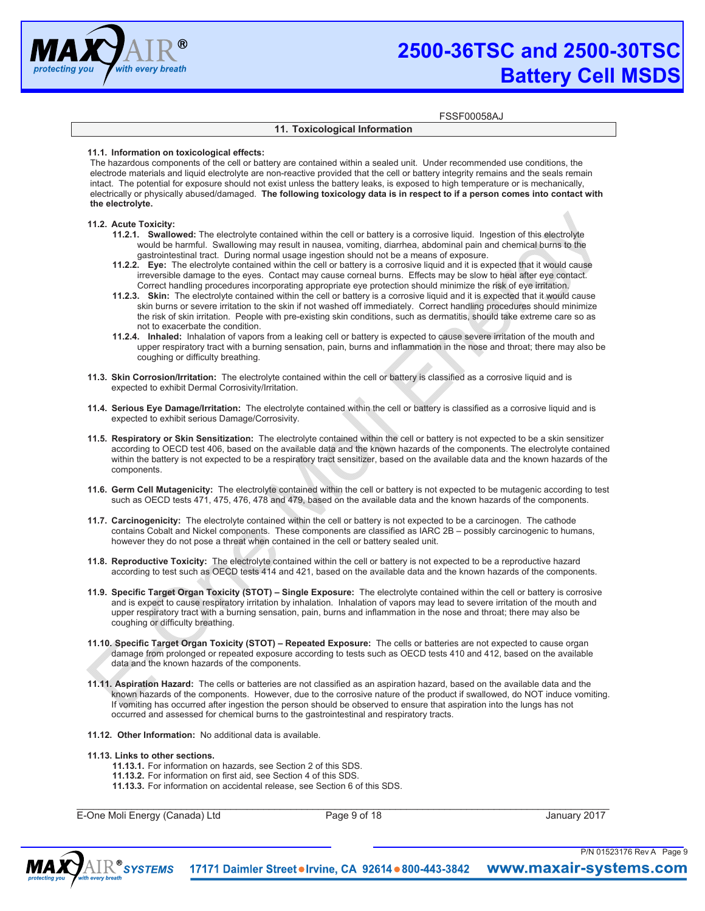

FSSF00058AJ

# **11. Toxicological Information**

# **11.1. Information on toxicological effects:**

The hazardous components of the cell or battery are contained within a sealed unit. Under recommended use conditions, the electrode materials and liquid electrolyte are non-reactive provided that the cell or battery integrity remains and the seals remain intact. The potential for exposure should not exist unless the battery leaks, is exposed to high temperature or is mechanically, electrically or physically abused/damaged. **The following toxicology data is in respect to if a person comes into contact with the electrolyte.**

# **11.2. Acute Toxicity:**

- **11.2.1. Swallowed:** The electrolyte contained within the cell or battery is a corrosive liquid. Ingestion of this electrolyte would be harmful. Swallowing may result in nausea, vomiting, diarrhea, abdominal pain and chemical burns to the gastrointestinal tract. During normal usage ingestion should not be a means of exposure.
- **11.2.2. Eye:** The electrolyte contained within the cell or battery is a corrosive liquid and it is expected that it would cause irreversible damage to the eyes. Contact may cause corneal burns. Effects may be slow to heal after eye contact. Correct handling procedures incorporating appropriate eye protection should minimize the risk of eye irritation.
- **11.2.3. Skin:** The electrolyte contained within the cell or battery is a corrosive liquid and it is expected that it would cause skin burns or severe irritation to the skin if not washed off immediately. Correct handling procedures should minimize the risk of skin irritation. People with pre-existing skin conditions, such as dermatitis, should take extreme care so as not to exacerbate the condition.
- **11.2.4. Inhaled:** Inhalation of vapors from a leaking cell or battery is expected to cause severe irritation of the mouth and upper respiratory tract with a burning sensation, pain, burns and inflammation in the nose and throat; there may also be coughing or difficulty breathing.
- **11.3. Skin Corrosion/Irritation:** The electrolyte contained within the cell or battery is classified as a corrosive liquid and is expected to exhibit Dermal Corrosivity/Irritation.
- **11.4. Serious Eye Damage/Irritation:** The electrolyte contained within the cell or battery is classified as a corrosive liquid and is expected to exhibit serious Damage/Corrosivity.
- **11.5. Respiratory or Skin Sensitization:** The electrolyte contained within the cell or battery is not expected to be a skin sensitizer according to OECD test 406, based on the available data and the known hazards of the components. The electrolyte contained within the battery is not expected to be a respiratory tract sensitizer, based on the available data and the known hazards of the components.
- **11.6. Germ Cell Mutagenicity:** The electrolyte contained within the cell or battery is not expected to be mutagenic according to test such as OECD tests 471, 475, 476, 478 and 479, based on the available data and the known hazards of the components.
- **11.7. Carcinogenicity:** The electrolyte contained within the cell or battery is not expected to be a carcinogen. The cathode contains Cobalt and Nickel components. These components are classified as IARC 2B – possibly carcinogenic to humans, however they do not pose a threat when contained in the cell or battery sealed unit.
- **11.8. Reproductive Toxicity:** The electrolyte contained within the cell or battery is not expected to be a reproductive hazard according to test such as OECD tests 414 and 421, based on the available data and the known hazards of the components.
- **11.9. Specific Target Organ Toxicity (STOT) – Single Exposure:** The electrolyte contained within the cell or battery is corrosive and is expect to cause respiratory irritation by inhalation. Inhalation of vapors may lead to severe irritation of the mouth and upper respiratory tract with a burning sensation, pain, burns and inflammation in the nose and throat; there may also be coughing or difficulty breathing.
- **11.10.Specific Target Organ Toxicity (STOT) – Repeated Exposure:** The cells or batteries are not expected to cause organ damage from prolonged or repeated exposure according to tests such as OECD tests 410 and 412, based on the available data and the known hazards of the components.
- **11.11.Aspiration Hazard:** The cells or batteries are not classified as an aspiration hazard, based on the available data and the known hazards of the components. However, due to the corrosive nature of the product if swallowed, do NOT induce vomiting. If vomiting has occurred after ingestion the person should be observed to ensure that aspiration into the lungs has not occurred and assessed for chemical burns to the gastrointestinal and respiratory tracts.
- **11.12. Other Information:** No additional data is available.

# **11.13.Links to other sections.**

- **11.13.1.** For information on hazards, see Section 2 of this SDS.
- **11.13.2.** For information on first aid, see Section 4 of this SDS.
- **11.13.3.** For information on accidental release, see Section 6 of this SDS.

E-One Moli Energy (Canada) Ltd Page 9 of 18 January 2017

 $\_$  ,  $\_$  ,  $\_$  ,  $\_$  ,  $\_$  ,  $\_$  ,  $\_$  ,  $\_$  ,  $\_$  ,  $\_$  ,  $\_$  ,  $\_$  ,  $\_$  ,  $\_$  ,  $\_$  ,  $\_$  ,  $\_$  ,  $\_$  ,  $\_$  ,  $\_$  ,  $\_$  ,  $\_$  ,  $\_$  ,  $\_$  ,  $\_$  ,  $\_$  ,  $\_$  ,  $\_$  ,  $\_$  ,  $\_$  ,  $\_$  ,  $\_$  ,  $\_$  ,  $\_$  ,  $\_$  ,  $\_$  ,  $\_$  ,

P/N 01523176 Rev A Page 9

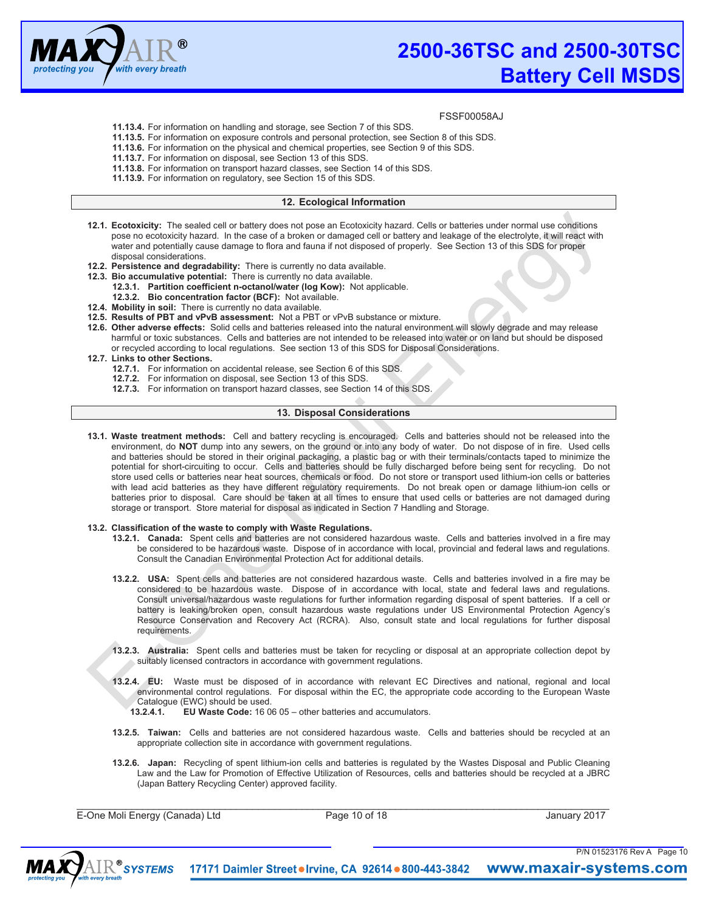

# FSSF00058AJ

- **11.13.4.** For information on handling and storage, see Section 7 of this SDS.
- **11.13.5.** For information on exposure controls and personal protection, see Section 8 of this SDS.
- **11.13.6.** For information on the physical and chemical properties, see Section 9 of this SDS.
- **11.13.7.** For information on disposal, see Section 13 of this SDS.
- **11.13.8.** For information on transport hazard classes, see Section 14 of this SDS.
- **11.13.9.** For information on regulatory, see Section 15 of this SDS.

# **12. Ecological Information**

- **12.1. Ecotoxicity:** The sealed cell or battery does not pose an Ecotoxicity hazard. Cells or batteries under normal use conditions pose no ecotoxicity hazard. In the case of a broken or damaged cell or battery and leakage of the electrolyte, it will react with water and potentially cause damage to flora and fauna if not disposed of properly. See Section 13 of this SDS for proper disposal considerations.
- **12.2. Persistence and degradability:** There is currently no data available.
- **12.3. Bio accumulative potential:** There is currently no data available.
	- **12.3.1. Partition coefficient n-octanol/water (log Kow):** Not applicable.
	- **12.3.2. Bio concentration factor (BCF):** Not available.
- **12.4. Mobility in soil:** There is currently no data available.
- **12.5. Results of PBT and vPvB assessment:** Not a PBT or vPvB substance or mixture.
- **12.6. Other adverse effects:** Solid cells and batteries released into the natural environment will slowly degrade and may release harmful or toxic substances. Cells and batteries are not intended to be released into water or on land but should be disposed or recycled according to local regulations. See section 13 of this SDS for Disposal Considerations.
- **12.7. Links to other Sections.** 
	- **12.7.1.** For information on accidental release, see Section 6 of this SDS.
	- **12.7.2.** For information on disposal, see Section 13 of this SDS.
	- **12.7.3.** For information on transport hazard classes, see Section 14 of this SDS.

# **13. Disposal Considerations**

**13.1. Waste treatment methods:** Cell and battery recycling is encouraged. Cells and batteries should not be released into the environment, do **NOT** dump into any sewers, on the ground or into any body of water. Do not dispose of in fire. Used cells and batteries should be stored in their original packaging, a plastic bag or with their terminals/contacts taped to minimize the potential for short-circuiting to occur. Cells and batteries should be fully discharged before being sent for recycling. Do not store used cells or batteries near heat sources, chemicals or food. Do not store or transport used lithium-ion cells or batteries with lead acid batteries as they have different regulatory requirements. Do not break open or damage lithium-ion cells or batteries prior to disposal. Care should be taken at all times to ensure that used cells or batteries are not damaged during storage or transport. Store material for disposal as indicated in Section 7 Handling and Storage.

# **13.2. Classification of the waste to comply with Waste Regulations.**

- **13.2.1. Canada:** Spent cells and batteries are not considered hazardous waste. Cells and batteries involved in a fire may be considered to be hazardous waste. Dispose of in accordance with local, provincial and federal laws and regulations. Consult the Canadian Environmental Protection Act for additional details.
- **13.2.2. USA:** Spent cells and batteries are not considered hazardous waste. Cells and batteries involved in a fire may be considered to be hazardous waste. Dispose of in accordance with local, state and federal laws and regulations. Consult universal/hazardous waste regulations for further information regarding disposal of spent batteries. If a cell or battery is leaking/broken open, consult hazardous waste regulations under US Environmental Protection Agency's Resource Conservation and Recovery Act (RCRA). Also, consult state and local regulations for further disposal requirements.
- **13.2.3. Australia:** Spent cells and batteries must be taken for recycling or disposal at an appropriate collection depot by suitably licensed contractors in accordance with government regulations.
- **13.2.4. EU:** Waste must be disposed of in accordance with relevant EC Directives and national, regional and local environmental control regulations. For disposal within the EC, the appropriate code according to the European Waste Catalogue (EWC) should be used.
	- **13.2.4.1. EU Waste Code:** 16 06 05 other batteries and accumulators.
- **13.2.5. Taiwan:** Cells and batteries are not considered hazardous waste. Cells and batteries should be recycled at an appropriate collection site in accordance with government regulations.
- **13.2.6. Japan:** Recycling of spent lithium-ion cells and batteries is regulated by the Wastes Disposal and Public Cleaning Law and the Law for Promotion of Effective Utilization of Resources, cells and batteries should be recycled at a JBRC (Japan Battery Recycling Center) approved facility.

E-One Moli Energy (Canada) Ltd **Page 10 of 18** Page 10 of 18 January 2017

 $\_$  ,  $\_$  ,  $\_$  ,  $\_$  ,  $\_$  ,  $\_$  ,  $\_$  ,  $\_$  ,  $\_$  ,  $\_$  ,  $\_$  ,  $\_$  ,  $\_$  ,  $\_$  ,  $\_$  ,  $\_$  ,  $\_$  ,  $\_$  ,  $\_$  ,  $\_$  ,  $\_$  ,  $\_$  ,  $\_$  ,  $\_$  ,  $\_$  ,  $\_$  ,  $\_$  ,  $\_$  ,  $\_$  ,  $\_$  ,  $\_$  ,  $\_$  ,  $\_$  ,  $\_$  ,  $\_$  ,  $\_$  ,  $\_$  ,

P/N 01523176 Rev A Page 10

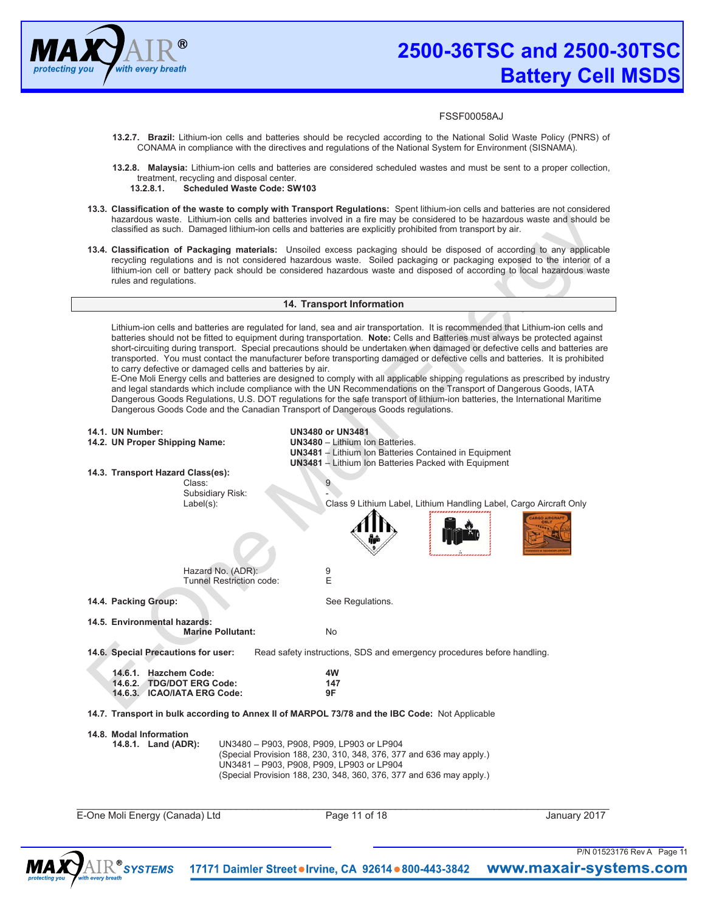

- **13.2.7. Brazil:** Lithium-ion cells and batteries should be recycled according to the National Solid Waste Policy (PNRS) of CONAMA in compliance with the directives and regulations of the National System for Environment (SISNAMA).
- **13.2.8. Malaysia:** Lithium-ion cells and batteries are considered scheduled wastes and must be sent to a proper collection, treatment, recycling and disposal center.<br>13.2.8.1. Scheduled Waste Code: SV
	- **13.2.8.1. Scheduled Waste Code: SW103**
- **13.3. Classification of the waste to comply with Transport Regulations:** Spent lithium-ion cells and batteries are not considered hazardous waste. Lithium-ion cells and batteries involved in a fire may be considered to be hazardous waste and should be classified as such. Damaged lithium-ion cells and batteries are explicitly prohibited from transport by air.
- **13.4. Classification of Packaging materials:** Unsoiled excess packaging should be disposed of according to any applicable recycling regulations and is not considered hazardous waste. Soiled packaging or packaging exposed to the interior of a lithium-ion cell or battery pack should be considered hazardous waste and disposed of according to local hazardous waste rules and regulations.

# **14. Transport Information**

Lithium-ion cells and batteries are regulated for land, sea and air transportation. It is recommended that Lithium-ion cells and batteries should not be fitted to equipment during transportation. **Note:** Cells and Batteries must always be protected against short-circuiting during transport. Special precautions should be undertaken when damaged or defective cells and batteries are transported. You must contact the manufacturer before transporting damaged or defective cells and batteries. It is prohibited to carry defective or damaged cells and batteries by air.

E-One Moli Energy cells and batteries are designed to comply with all applicable shipping regulations as prescribed by industry and legal standards which include compliance with the UN Recommendations on the Transport of Dangerous Goods, IATA Dangerous Goods Regulations, U.S. DOT regulations for the safe transport of lithium-ion batteries, the International Maritime Dangerous Goods Code and the Canadian Transport of Dangerous Goods regulations.

| <b>14.1. UN Number:</b>                                                                        | <b>UN3480 or UN3481</b>                                                                                                                                       |               |
|------------------------------------------------------------------------------------------------|---------------------------------------------------------------------------------------------------------------------------------------------------------------|---------------|
| 14.2. UN Proper Shipping Name:                                                                 | <b>UN3480</b> - Lithium Ion Batteries.<br><b>UN3481</b> - Lithium Ion Batteries Contained in Equipment                                                        |               |
|                                                                                                | <b>UN3481</b> - Lithium Ion Batteries Packed with Equipment                                                                                                   |               |
| 14.3. Transport Hazard Class(es):                                                              |                                                                                                                                                               |               |
| Class:                                                                                         | 9                                                                                                                                                             |               |
| Subsidiary Risk:<br>$Label(s)$ :                                                               | Class 9 Lithium Label, Lithium Handling Label, Cargo Aircraft Only                                                                                            |               |
|                                                                                                |                                                                                                                                                               |               |
|                                                                                                |                                                                                                                                                               | ARGO AIRCRAFT |
| Hazard No. (ADR):                                                                              | 9                                                                                                                                                             |               |
| <b>Tunnel Restriction code:</b>                                                                | E                                                                                                                                                             |               |
|                                                                                                |                                                                                                                                                               |               |
| 14.4. Packing Group:                                                                           | See Regulations.                                                                                                                                              |               |
| 14.5. Environmental hazards:                                                                   |                                                                                                                                                               |               |
| <b>Marine Pollutant:</b>                                                                       | <b>No</b>                                                                                                                                                     |               |
| 14.6. Special Precautions for user:                                                            | Read safety instructions, SDS and emergency procedures before handling.                                                                                       |               |
|                                                                                                |                                                                                                                                                               |               |
| 14.6.1. Hazchem Code:                                                                          | 4W                                                                                                                                                            |               |
| 14.6.2. TDG/DOT ERG Code:<br>14.6.3. ICAO/IATA ERG Code:                                       | 147<br>9F                                                                                                                                                     |               |
|                                                                                                |                                                                                                                                                               |               |
| 14.7. Transport in bulk according to Annex II of MARPOL 73/78 and the IBC Code: Not Applicable |                                                                                                                                                               |               |
| 14.8. Modal Information<br>14.8.1. Land (ADR):                                                 | UN3480 - P903, P908, P909, LP903 or LP904<br>(Special Provision 188, 230, 310, 348, 376, 377 and 636 may apply.)<br>UN3481 - P903, P908, P909, LP903 or LP904 |               |
|                                                                                                | (Special Provision 188, 230, 348, 360, 376, 377 and 636 may apply.)                                                                                           |               |
|                                                                                                |                                                                                                                                                               |               |
| E-One Moli Energy (Canada) Ltd                                                                 | Page 11 of 18                                                                                                                                                 | January 2017  |
|                                                                                                |                                                                                                                                                               |               |
|                                                                                                |                                                                                                                                                               |               |



17171 Daimler Street . Irvine, CA 92614 . 800-443-3842 www.maxair-systems.com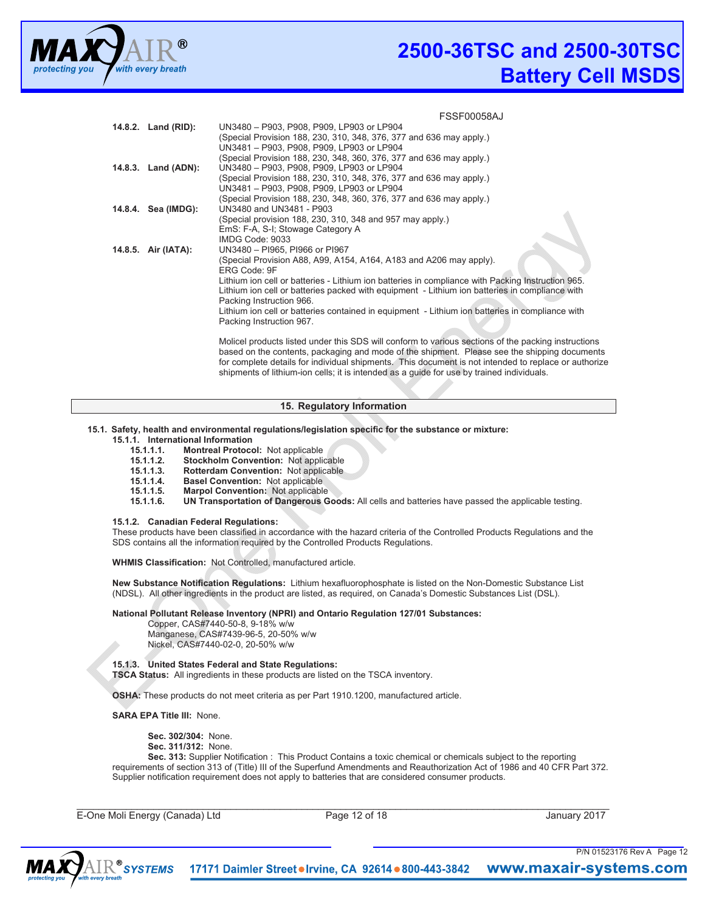

**FSSF00058AJ** 

| 14.8.2. Land (RID): | UN3480 - P903, P908, P909, LP903 or LP904                                                            |
|---------------------|------------------------------------------------------------------------------------------------------|
|                     | (Special Provision 188, 230, 310, 348, 376, 377 and 636 may apply.)                                  |
|                     | UN3481 - P903, P908, P909, LP903 or LP904                                                            |
|                     | (Special Provision 188, 230, 348, 360, 376, 377 and 636 may apply.)                                  |
| 14.8.3. Land (ADN): | UN3480 - P903, P908, P909, LP903 or LP904                                                            |
|                     | (Special Provision 188, 230, 310, 348, 376, 377 and 636 may apply.)                                  |
|                     | UN3481 - P903, P908, P909, LP903 or LP904                                                            |
|                     | (Special Provision 188, 230, 348, 360, 376, 377 and 636 may apply.)                                  |
| 14.8.4. Sea (IMDG): | UN3480 and UN3481 - P903                                                                             |
|                     | (Special provision 188, 230, 310, 348 and 957 may apply.)                                            |
|                     | EmS: F-A, S-I; Stowage Category A                                                                    |
|                     | IMDG Code: 9033                                                                                      |
| 14.8.5. Air (IATA): | UN3480 - PI965, PI966 or PI967                                                                       |
|                     | (Special Provision A88, A99, A154, A164, A183 and A206 may apply).                                   |
|                     | ERG Code: 9F                                                                                         |
|                     | Lithium ion cell or batteries - Lithium ion batteries in compliance with Packing Instruction 965.    |
|                     | Lithium ion cell or batteries packed with equipment - Lithium ion batteries in compliance with       |
|                     | Packing Instruction 966.                                                                             |
|                     | Lithium ion cell or batteries contained in equipment - Lithium ion batteries in compliance with      |
|                     | Packing Instruction 967.                                                                             |
|                     | Molicel products listed under this SDS will conform to various sections of the packing instructions  |
|                     | based on the contents, packaging and mode of the shipment. Please see the shipping documents         |
|                     | for complete details for individual shipments. This document is not intended to replace or authorize |

# **15. Regulatory Information**

shipments of lithium-ion cells; it is intended as a guide for use by trained individuals.

# **15.1. Safety, health and environmental regulations/legislation specific for the substance or mixture:**

# **15.1.1. International Information**

- **15.1.1.1. Montreal Protocol:** Not applicable
- **15.1.1.2. Stockholm Convention:** Not applicable
- **15.1.1.3. Rotterdam Convention:** Not applicable
- **15.1.1.4. Basel Convention:** Not applicable
- **15.1.1.5. Marpol Convention:** Not applicable
- **15.1.1.6. UN Transportation of Dangerous Goods:** All cells and batteries have passed the applicable testing.

#### **15.1.2. Canadian Federal Regulations:**

These products have been classified in accordance with the hazard criteria of the Controlled Products Regulations and the SDS contains all the information required by the Controlled Products Regulations.

**WHMIS Classification:** Not Controlled, manufactured article.

**New Substance Notification Regulations:** Lithium hexafluorophosphate is listed on the Non-Domestic Substance List (NDSL). All other ingredients in the product are listed, as required, on Canada's Domestic Substances List (DSL).

#### **National Pollutant Release Inventory (NPRI) and Ontario Regulation 127/01 Substances:**

 Copper, CAS#7440-50-8, 9-18% w/w Manganese, CAS#7439-96-5, 20-50% w/w Nickel, CAS#7440-02-0, 20-50% w/w

**15.1.3. United States Federal and State Regulations:** 

**TSCA Status:** All ingredients in these products are listed on the TSCA inventory.

**OSHA:** These products do not meet criteria as per Part 1910.1200, manufactured article.

**SARA EPA Title III:** None.

**Sec. 302/304:** None. **Sec. 311/312:** None.

**Sec. 313:** Supplier Notification : This Product Contains a toxic chemical or chemicals subject to the reporting requirements of section 313 of (Title) III of the Superfund Amendments and Reauthorization Act of 1986 and 40 CFR Part 372. Supplier notification requirement does not apply to batteries that are considered consumer products.

E-One Moli Energy (Canada) Ltd Page 12 of 18 January 2017

 $\_$  ,  $\_$  ,  $\_$  ,  $\_$  ,  $\_$  ,  $\_$  ,  $\_$  ,  $\_$  ,  $\_$  ,  $\_$  ,  $\_$  ,  $\_$  ,  $\_$  ,  $\_$  ,  $\_$  ,  $\_$  ,  $\_$  ,  $\_$  ,  $\_$  ,  $\_$  ,  $\_$  ,  $\_$  ,  $\_$  ,  $\_$  ,  $\_$  ,  $\_$  ,  $\_$  ,  $\_$  ,  $\_$  ,  $\_$  ,  $\_$  ,  $\_$  ,  $\_$  ,  $\_$  ,  $\_$  ,  $\_$  ,  $\_$  ,

P/N 01523176 Rev A Page 12

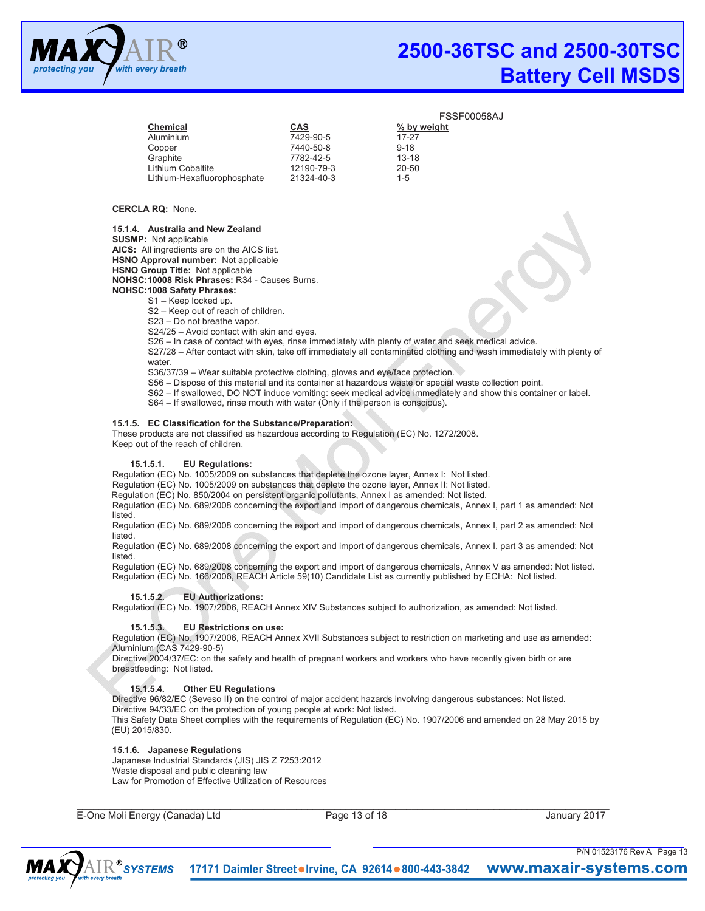

|            | FЭ          |
|------------|-------------|
| <b>CAS</b> | % by weight |
| 7429-90-5  | 17-27       |
| 7440-50-8  | $9 - 18$    |
| 7782-42-5  | $13 - 18$   |
| 12190-79-3 | 20-50       |
| 21324-40-3 | $1 - 5$     |
|            |             |

#### **CERCLA RQ:** None.

**15.1.4. Australia and New Zealand** 

**SUSMP:** Not applicable **AICS:** All ingredients are on the AICS list.

**HSNO Approval number:** Not applicable

**HSNO Group Title:** Not applicable **NOHSC:10008 Risk Phrases:** R34 - Causes Burns.

**NOHSC:1008 Safety Phrases:** 

S1 – Keep locked up.

S2 – Keep out of reach of children.

S23 – Do not breathe vapor.

S24/25 – Avoid contact with skin and eyes.

S26 – In case of contact with eyes, rinse immediately with plenty of water and seek medical advice.

S27/28 – After contact with skin, take off immediately all contaminated clothing and wash immediately with plenty of water.

S36/37/39 – Wear suitable protective clothing, gloves and eye/face protection.

S56 – Dispose of this material and its container at hazardous waste or special waste collection point.

S62 – If swallowed, DO NOT induce vomiting: seek medical advice immediately and show this container or label.

S64 – If swallowed, rinse mouth with water (Only if the person is conscious).

# **15.1.5. EC Classification for the Substance/Preparation:**

These products are not classified as hazardous according to Regulation (EC) No. 1272/2008. Keep out of the reach of children.

# **15.1.5.1. EU Regulations:**

Regulation (EC) No. 1005/2009 on substances that deplete the ozone layer, Annex I: Not listed.

Regulation (EC) No. 1005/2009 on substances that deplete the ozone layer, Annex II: Not listed.

Regulation (EC) No. 850/2004 on persistent organic pollutants, Annex I as amended: Not listed.

Regulation (EC) No. 689/2008 concerning the export and import of dangerous chemicals, Annex I, part 1 as amended: Not listed.

Regulation (EC) No. 689/2008 concerning the export and import of dangerous chemicals, Annex I, part 2 as amended: Not listed.

Regulation (EC) No. 689/2008 concerning the export and import of dangerous chemicals, Annex I, part 3 as amended: Not listed.

Regulation (EC) No. 689/2008 concerning the export and import of dangerous chemicals, Annex V as amended: Not listed. Regulation (EC) No. 166/2006, REACH Article 59(10) Candidate List as currently published by ECHA: Not listed.

# **15.1.5.2. EU Authorizations:**

Regulation (EC) No. 1907/2006, REACH Annex XIV Substances subject to authorization, as amended: Not listed.

# **15.1.5.3. EU Restrictions on use:**

Regulation (EC) No. 1907/2006, REACH Annex XVII Substances subject to restriction on marketing and use as amended: Aluminium (CAS 7429-90-5)

Directive 2004/37/EC: on the safety and health of pregnant workers and workers who have recently given birth or are breastfeeding: Not listed.

# **15.1.5.4. Other EU Regulations**

Directive 96/82/EC (Seveso II) on the control of major accident hazards involving dangerous substances: Not listed. Directive 94/33/EC on the protection of young people at work: Not listed. This Safety Data Sheet complies with the requirements of Regulation (EC) No. 1907/2006 and amended on 28 May 2015 by

(EU) 2015/830.

# **15.1.6. Japanese Regulations**

Japanese Industrial Standards (JIS) JIS Z 7253:2012 Waste disposal and public cleaning law Law for Promotion of Effective Utilization of Resources

E-One Moli Energy (Canada) Ltd Page 13 of 18 January 2017

 $\_$  ,  $\_$  ,  $\_$  ,  $\_$  ,  $\_$  ,  $\_$  ,  $\_$  ,  $\_$  ,  $\_$  ,  $\_$  ,  $\_$  ,  $\_$  ,  $\_$  ,  $\_$  ,  $\_$  ,  $\_$  ,  $\_$  ,  $\_$  ,  $\_$  ,  $\_$  ,  $\_$  ,  $\_$  ,  $\_$  ,  $\_$  ,  $\_$  ,  $\_$  ,  $\_$  ,  $\_$  ,  $\_$  ,  $\_$  ,  $\_$  ,  $\_$  ,  $\_$  ,  $\_$  ,  $\_$  ,  $\_$  ,  $\_$  ,

P/N 01523176 Rev A Page 13

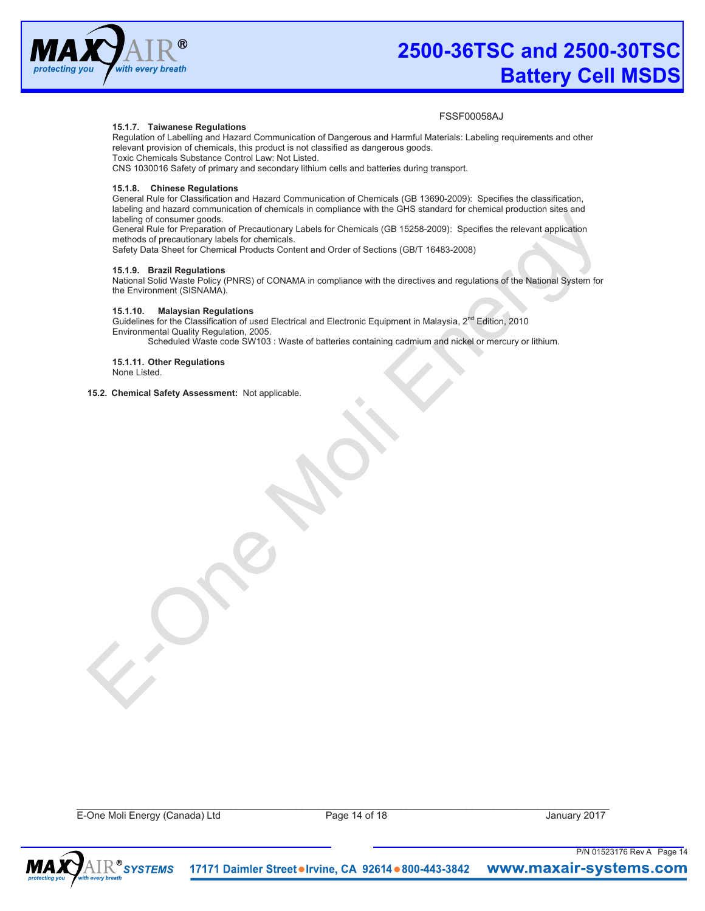

# **15.1.7. Taiwanese Regulations**

FSSF00058AJ

Regulation of Labelling and Hazard Communication of Dangerous and Harmful Materials: Labeling requirements and other relevant provision of chemicals, this product is not classified as dangerous goods. Toxic Chemicals Substance Control Law: Not Listed.

CNS 1030016 Safety of primary and secondary lithium cells and batteries during transport.

# **15.1.8. Chinese Regulations**

General Rule for Classification and Hazard Communication of Chemicals (GB 13690-2009): Specifies the classification, labeling and hazard communication of chemicals in compliance with the GHS standard for chemical production sites and labeling of consumer goods.

General Rule for Preparation of Precautionary Labels for Chemicals (GB 15258-2009): Specifies the relevant application methods of precautionary labels for chemicals.

Safety Data Sheet for Chemical Products Content and Order of Sections (GB/T 16483-2008)

#### **15.1.9. Brazil Regulations**

National Solid Waste Policy (PNRS) of CONAMA in compliance with the directives and regulations of the National System for the Environment (SISNAMA).

# **15.1.10. Malaysian Regulations**

Guidelines for the Classification of used Electrical and Electronic Equipment in Malaysia, 2<sup>nd</sup> Edition, 2010 Environmental Quality Regulation, 2005.

Scheduled Waste code SW103 : Waste of batteries containing cadmium and nickel or mercury or lithium.

#### **15.1.11. Other Regulations**  None Listed.

#### **15.2. Chemical Safety Assessment:** Not applicable.

E-One Moli Energy (Canada) Ltd Page 14 of 18 January 2017

 $\_$  ,  $\_$  ,  $\_$  ,  $\_$  ,  $\_$  ,  $\_$  ,  $\_$  ,  $\_$  ,  $\_$  ,  $\_$  ,  $\_$  ,  $\_$  ,  $\_$  ,  $\_$  ,  $\_$  ,  $\_$  ,  $\_$  ,  $\_$  ,  $\_$  ,  $\_$  ,  $\_$  ,  $\_$  ,  $\_$  ,  $\_$  ,  $\_$  ,  $\_$  ,  $\_$  ,  $\_$  ,  $\_$  ,  $\_$  ,  $\_$  ,  $\_$  ,  $\_$  ,  $\_$  ,  $\_$  ,  $\_$  ,  $\_$  ,

P/N 01523176 Rev A Page 14

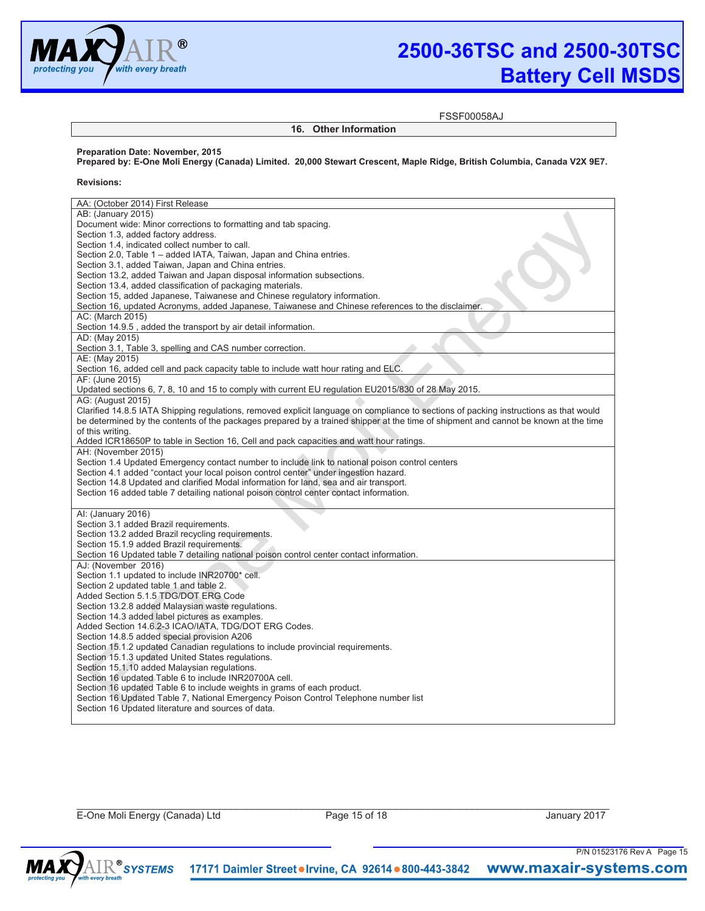

**Preparation Date: November, 2015** 

# **2500-36TSC and 2500-30TSC Battery Cell MSDS**

**16. Other Information**

FSSF00058AJ

**Revisions:**  AA: (October 2014) First Release AB: (January 2015) Document wide: Minor corrections to formatting and tab spacing. Section 1.3, added factory address. Section 1.4, indicated collect number to call. Section 2.0, Table 1 – added IATA, Taiwan, Japan and China entries. Section 3.1, added Taiwan, Japan and China entries. Section 13.2, added Taiwan and Japan disposal information subsections. Section 13.4, added classification of packaging materials. Section 15, added Japanese, Taiwanese and Chinese regulatory information. Section 16, updated Acronyms, added Japanese, Taiwanese and Chinese references to the disclaimer. AC: (March 2015) Section 14.9.5 , added the transport by air detail information. AD: (May 2015) Section 3.1, Table 3, spelling and CAS number correction. AE: (May 2015) Section 16, added cell and pack capacity table to include watt hour rating and ELC. AF: (June 2015) Updated sections 6, 7, 8, 10 and 15 to comply with current EU regulation EU2015/830 of 28 May 2015. AG: (August 2015) Clarified 14.8.5 IATA Shipping regulations, removed explicit language on compliance to sections of packing instructions as that would be determined by the contents of the packages prepared by a trained shipper at the time of shipment and cannot be known at the time of this writing. Added ICR18650P to table in Section 16, Cell and pack capacities and watt hour ratings. AH: (November 2015) Section 1.4 Updated Emergency contact number to include link to national poison control centers Section 4.1 added "contact your local poison control center" under ingestion hazard. Section 14.8 Updated and clarified Modal information for land, sea and air transport. Section 16 added table 7 detailing national poison control center contact information. AI: (January 2016) Section 3.1 added Brazil requirements. Section 13.2 added Brazil recycling requirements. Section 15.1.9 added Brazil requirements. Section 16 Updated table 7 detailing national poison control center contact information. AJ: (November 2016) Section 1.1 updated to include INR20700\* cell. Section 2 updated table 1 and table 2. Added Section 5.1.5 TDG/DOT ERG Code Section 13.2.8 added Malaysian waste regulations. Section 14.3 added label pictures as examples. Added Section 14.6.2-3 ICAO/IATA, TDG/DOT ERG Codes. Section 14.8.5 added special provision A206 Section 15.1.2 updated Canadian regulations to include provincial requirements. Section 15.1.3 updated United States regulations. Section 15.1.10 added Malaysian regulations. Section 16 updated Table 6 to include INR20700A cell. Section 16 updated Table 6 to include weights in grams of each product. Section 16 Updated Table 7, National Emergency Poison Control Telephone number list Section 16 Updated literature and sources of data.

**Prepared by: E-One Moli Energy (Canada) Limited. 20,000 Stewart Crescent, Maple Ridge, British Columbia, Canada V2X 9E7.** 

E-One Moli Energy (Canada) Ltd Page 15 of 18 January 2017

 $\_$  ,  $\_$  ,  $\_$  ,  $\_$  ,  $\_$  ,  $\_$  ,  $\_$  ,  $\_$  ,  $\_$  ,  $\_$  ,  $\_$  ,  $\_$  ,  $\_$  ,  $\_$  ,  $\_$  ,  $\_$  ,  $\_$  ,  $\_$  ,  $\_$  ,  $\_$  ,  $\_$  ,  $\_$  ,  $\_$  ,  $\_$  ,  $\_$  ,  $\_$  ,  $\_$  ,  $\_$  ,  $\_$  ,  $\_$  ,  $\_$  ,  $\_$  ,  $\_$  ,  $\_$  ,  $\_$  ,  $\_$  ,  $\_$  ,

P/N 01523176 Rev A Page 15

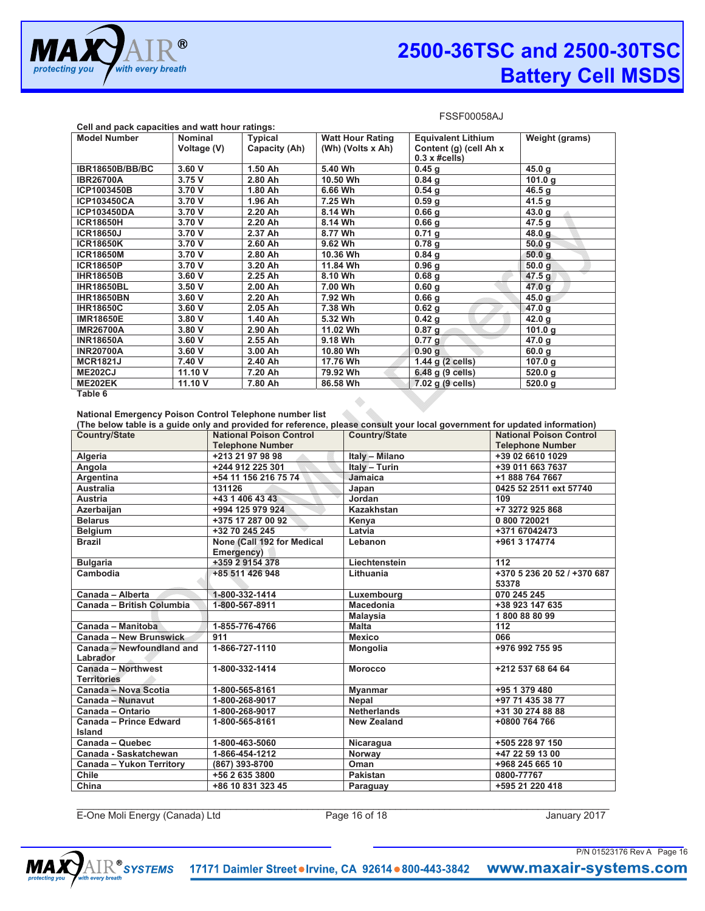

| Cell and pack capacities and watt hour ratings: |                |                |                         |                             |                   |
|-------------------------------------------------|----------------|----------------|-------------------------|-----------------------------|-------------------|
| <b>Model Number</b>                             | <b>Nominal</b> | <b>Typical</b> | <b>Watt Hour Rating</b> | <b>Equivalent Lithium</b>   | Weight (grams)    |
|                                                 | Voltage (V)    | Capacity (Ah)  | (Wh) (Volts x Ah)       | Content (g) (cell Ah x      |                   |
|                                                 |                |                |                         | $0.3 \times \text{\#cells}$ |                   |
| <b>IBR18650B/BB/BC</b>                          | 3.60 V         | 1.50 Ah        | 5.40 Wh                 | 0.45 <sub>g</sub>           | 45.0 g            |
| <b>IBR26700A</b>                                | 3.75 V         | 2.80 Ah        | 10.50 Wh                | $0.84$ g                    | 101.0 g           |
| ICP1003450B                                     | 3.70 V         | 1.80 Ah        | 6.66 Wh                 | $0.54$ g                    | 46.5 $g$          |
| <b>ICP103450CA</b>                              | 3.70 V         | 1.96 Ah        | 7.25 Wh                 | 0.59 <sub>g</sub>           | 41.5 g            |
| <b>ICP103450DA</b>                              | 3.70 V         | 2.20 Ah        | 8.14 Wh                 | 0.66 <sub>g</sub>           | 43.0 g            |
| <b>ICR18650H</b>                                | 3.70 V         | 2.20 Ah        | 8.14 Wh                 | 0.66 <sub>g</sub>           | 47.5 g            |
| <b>ICR18650J</b>                                | 3.70 V         | 2.37 Ah        | 8.77 Wh                 | $0.71$ g                    | 48.0 g            |
| <b>ICR18650K</b>                                | 3.70 V         | 2.60 Ah        | 9.62 Wh                 | 0.78 <sub>g</sub>           | 50.0 g            |
| <b>ICR18650M</b>                                | 3.70 V         | 2.80 Ah        | 10.36 Wh                | 0.84 <sub>q</sub>           | 50.0q             |
| <b>ICR18650P</b>                                | 3.70 V         | 3.20 Ah        | 11.84 Wh                | 0.96 <sub>q</sub>           | 50.0 g            |
| <b>IHR18650B</b>                                | 3.60 V         | 2.25 Ah        | 8.10 Wh                 | 0.68 <sub>q</sub>           | 47.5 g            |
| <b>IHR18650BL</b>                               | 3.50V          | 2.00 Ah        | 7.00 Wh                 | 0.60 g                      | 47.0 g            |
| <b>IHR18650BN</b>                               | 3.60 V         | 2.20 Ah        | 7.92 Wh                 | $0.66$ g                    | 45.0 <sub>g</sub> |
| <b>IHR18650C</b>                                | 3.60V          | 2.05 Ah        | 7.38 Wh                 | $0.62$ g                    | 47.0 g            |
| <b>IMR18650E</b>                                | 3.80 V         | 1.40 Ah        | 5.32 Wh                 | 0.42 g                      | 42.0 g            |
| <b>IMR26700A</b>                                | 3.80 V         | 2.90 Ah        | 11.02 Wh                | $0.87$ g                    | 101.0 $g$         |
| <b>INR18650A</b>                                | 3.60 V         | 2.55 Ah        | 9.18 Wh                 | 0.77 g                      | 47.0 g            |
| <b>INR20700A</b>                                | 3.60 V         | 3.00 Ah        | 10.80 Wh                | 0.90 g                      | 60.0 g            |
| <b>MCR1821J</b>                                 | 7.40 V         | 2.40 Ah        | 17.76 Wh                | 1.44 g (2 cells)            | 107.0 g           |
| <b>ME202CJ</b>                                  | 11.10 V        | 7.20 Ah        | 79.92 Wh                | 6.48 g (9 cells)            | 520.0 g           |
| <b>ME202EK</b>                                  | 11.10 V        | 7.80 Ah        | 86.58 Wh                | 7.02 g (9 cells)            | 520.0 g           |

 $\bullet$ 

**Table 6** 

**National Emergency Poison Control Telephone number list** 

|                           |                                | (The below table is a guide only and provided for reference, please consult your local government for updated information) |                                |
|---------------------------|--------------------------------|----------------------------------------------------------------------------------------------------------------------------|--------------------------------|
| <b>Country/State</b>      | <b>National Poison Control</b> | <b>Country/State</b>                                                                                                       | <b>National Poison Control</b> |
|                           | <b>Telephone Number</b>        |                                                                                                                            | <b>Telephone Number</b>        |
| Algeria                   | +213 21 97 98 98               | Italy - Milano                                                                                                             | +39 02 6610 1029               |
| Angola                    | +244 912 225 301               | Italy - Turin                                                                                                              | +39 011 663 7637               |
| Argentina                 | +54 11 156 216 75 74           | Jamaica                                                                                                                    | +1 888 764 7667                |
| <b>Australia</b>          | 131126                         | Japan                                                                                                                      | 0425 52 2511 ext 57740         |
| Austria                   | +43 1 406 43 43                | Jordan                                                                                                                     | 109                            |
| Azerbaijan                | +994 125 979 924               | Kazakhstan                                                                                                                 | +7 3272 925 868                |
| <b>Belarus</b>            | +375 17 287 00 92              | Kenya                                                                                                                      | 0 800 720021                   |
| <b>Belgium</b>            | +32 70 245 245                 | Latvia                                                                                                                     | +371 67042473                  |
| <b>Brazil</b>             | None (Call 192 for Medical     | Lebanon                                                                                                                    | +961 3 174774                  |
|                           | Emergency)                     |                                                                                                                            |                                |
| <b>Bulgaria</b>           | +359 2 9154 378                | Liechtenstein                                                                                                              | 112                            |
| Cambodia                  | +85 511 426 948                | Lithuania                                                                                                                  | +370 5 236 20 52 / +370 687    |
|                           |                                |                                                                                                                            | 53378                          |
| Canada - Alberta          | 1-800-332-1414                 | Luxembourg                                                                                                                 | 070 245 245                    |
| Canada - British Columbia | 1-800-567-8911                 | <b>Macedonia</b>                                                                                                           | +38 923 147 635                |
|                           |                                | <b>Malaysia</b>                                                                                                            | 1800888099                     |
| Canada - Manitoba         | 1-855-776-4766                 | <b>Malta</b>                                                                                                               | 112                            |
| Canada - New Brunswick    | 911                            | <b>Mexico</b>                                                                                                              | 066                            |
| Canada - Newfoundland and | 1-866-727-1110                 | <b>Mongolia</b>                                                                                                            | +976 992 755 95                |
| Labrador                  |                                |                                                                                                                            |                                |
| Canada - Northwest        | 1-800-332-1414                 | <b>Morocco</b>                                                                                                             | +212 537 68 64 64              |
| <b>Territories</b>        |                                |                                                                                                                            |                                |
| Canada - Nova Scotia      | 1-800-565-8161                 | <b>Myanmar</b>                                                                                                             | +95 1 379 480                  |
| Canada - Nunavut          | 1-800-268-9017                 | Nepal                                                                                                                      | +97 71 435 38 77               |
| Canada - Ontario          | 1-800-268-9017                 | <b>Netherlands</b>                                                                                                         | +31 30 274 88 88               |
| Canada - Prince Edward    | 1-800-565-8161                 | <b>New Zealand</b>                                                                                                         | +0800 764 766                  |
| Island                    |                                |                                                                                                                            |                                |
| Canada - Quebec           | 1-800-463-5060                 | Nicaragua                                                                                                                  | +505 228 97 150                |
| Canada - Saskatchewan     | 1-866-454-1212                 | Norway                                                                                                                     | +47 22 59 13 00                |
| Canada - Yukon Territory  | (867) 393-8700                 | Oman                                                                                                                       | +968 245 665 10                |
| <b>Chile</b>              | +56 2 635 3800                 | Pakistan                                                                                                                   | 0800-77767                     |
| China                     | +86 10 831 323 45              | Paraguay                                                                                                                   | +595 21 220 418                |

E-One Moli Energy (Canada) Ltd Page 16 of 18 January 2017

 $\_$  ,  $\_$  ,  $\_$  ,  $\_$  ,  $\_$  ,  $\_$  ,  $\_$  ,  $\_$  ,  $\_$  ,  $\_$  ,  $\_$  ,  $\_$  ,  $\_$  ,  $\_$  ,  $\_$  ,  $\_$  ,  $\_$  ,  $\_$  ,  $\_$  ,  $\_$  ,  $\_$  ,  $\_$  ,  $\_$  ,  $\_$  ,  $\_$  ,  $\_$  ,  $\_$  ,  $\_$  ,  $\_$  ,  $\_$  ,  $\_$  ,  $\_$  ,  $\_$  ,  $\_$  ,  $\_$  ,  $\_$  ,  $\_$  ,

P/N 01523176 Rev A Page 16

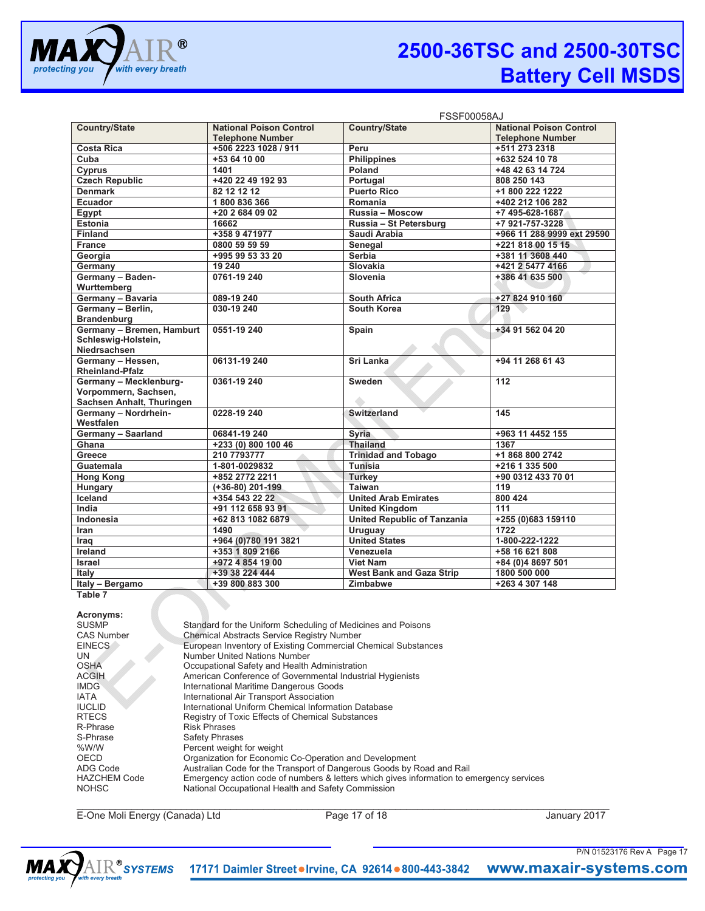

|                           | <b>FSSF00058AJ</b>             |                                    |                                |
|---------------------------|--------------------------------|------------------------------------|--------------------------------|
| <b>Country/State</b>      | <b>National Poison Control</b> | <b>Country/State</b>               | <b>National Poison Control</b> |
|                           | <b>Telephone Number</b>        |                                    | <b>Telephone Number</b>        |
| <b>Costa Rica</b>         | +506 2223 1028 / 911           | Peru                               | +511 273 2318                  |
| Cuba                      | +53 64 10 00                   | <b>Philippines</b>                 | +632 524 10 78                 |
| Cyprus                    | 1401                           | Poland                             | +48 42 63 14 724               |
| <b>Czech Republic</b>     | +420 22 49 192 93              | Portugal                           | 808 250 143                    |
| <b>Denmark</b>            | 82 12 12 12                    | <b>Puerto Rico</b>                 | +1 800 222 1222                |
| Ecuador                   | 1800836366                     | Romania                            | +402 212 106 282               |
| Egypt                     | +20 2 684 09 02                | Russia - Moscow                    | +7 495-628-1687                |
| <b>Estonia</b>            | 16662                          | Russia - St Petersburg             | +7 921-757-3228                |
| <b>Finland</b>            | +358 9 471977                  | Saudi Arabia                       | +966 11 288 9999 ext 29590     |
| <b>France</b>             | 0800 59 59 59                  | Senegal                            | +221 818 00 15 15              |
| Georgia                   | +995 99 53 33 20               | Serbia                             | +381 11 3608 440               |
| Germany                   | 19 240                         | Slovakia                           | +421 2 5477 4166               |
| Germany - Baden-          | 0761-19 240                    | Slovenia                           | +386 41 635 500                |
| Wurttemberg               |                                |                                    |                                |
| Germany - Bavaria         | 089-19 240                     | <b>South Africa</b>                | +27 824 910 160                |
| Germany - Berlin,         | 030-19 240                     | South Korea                        | 129                            |
| <b>Brandenburg</b>        |                                |                                    |                                |
| Germany - Bremen, Hamburt | 0551-19 240                    | Spain                              | +34 91 562 04 20               |
| Schleswig-Holstein,       |                                |                                    |                                |
| Niedrsachsen              |                                |                                    |                                |
| Germany - Hessen,         | 06131-19 240                   | Sri Lanka                          | +94 11 268 61 43               |
| <b>Rheinland-Pfalz</b>    |                                |                                    |                                |
| Germany - Mecklenburg-    | 0361-19 240                    | Sweden                             | 112                            |
| Vorpommern, Sachsen,      |                                |                                    |                                |
| Sachsen Anhalt, Thuringen |                                |                                    |                                |
| Germany - Nordrhein-      | 0228-19 240                    | <b>Switzerland</b>                 | 145                            |
| Westfalen                 |                                |                                    |                                |
| Germany - Saarland        | 06841-19 240                   | <b>Syria</b>                       | +963 11 4452 155               |
| Ghana                     | +233 (0) 800 100 46            | <b>Thailand</b>                    | 1367                           |
| Greece                    | 210 7793777                    | <b>Trinidad and Tobago</b>         | +1 868 800 2742                |
| Guatemala                 | 1-801-0029832                  | <b>Tunisia</b>                     | +216 1 335 500                 |
| <b>Hong Kong</b>          | +852 2772 2211                 | <b>Turkey</b>                      | +90 0312 433 70 01             |
| Hungary                   | (+36-80) 201-199               | <b>Taiwan</b>                      | 119                            |
| Iceland                   | +354 543 22 22                 | <b>United Arab Emirates</b>        | 800 424                        |
| India                     | +91 112 658 93 91              | <b>United Kingdom</b>              | 111                            |
| Indonesia                 | +62 813 1082 6879              | <b>United Republic of Tanzania</b> | +255 (0)683 159110             |
| Iran                      | 1490                           | Uruguay                            | 1722                           |
| Iraq                      | +964 (0) 780 191 3821          | <b>United States</b>               | 1-800-222-1222                 |
| Ireland                   | +353 1 809 2166                | Venezuela                          | +58 16 621 808                 |
| <b>Israel</b>             | +972 4 854 19 00               | <b>Viet Nam</b>                    | +84 (0)4 8697 501              |
| Italy                     | +39 38 224 444                 | <b>West Bank and Gaza Strip</b>    | 1800 500 000                   |
| Italy - Bergamo           | +39 800 883 300                | Zimbabwe                           | +263 4 307 148                 |

**Table 7** 

**Acronyms:**  SUSMP<br>CAS Number Standard for the Uniform Scheduling of Medicines and Poisons<br>CAS Number CAS Number Chemical Abstracts Service Registry Number<br>EINECS European Inventory of Existing Commercial C EINECS European Inventory of Existing Commercial Chemical Substances<br>
UN Number United Nations Number UN Number United Nations Number<br>
OSHA Occupational Safety and Health OSHA Occupational Safety and Health Administration<br>ACGIH American Conference of Governmental Industri ACGIH American Conference of Governmental Industrial Hygienists<br>
IMDG International Maritime Dangerous Goods IMDG International Maritime Dangerous Goods<br>
IATA International Air Transport Association IATA International Air Transport Association IUCLID International Uniform Chemical Information Database<br>
RTECS Registry of Toxic Effects of Chemical Substances RTECS Registry of Toxic Effects of Chemical Substances<br>
R-Phrase R-Phrases R-Phrase Risk Phrases<br>S-Phrase Safety Phrase S-Phrase Safety Phrases<br>
Safety Percent weight %W/W Percent weight for weight<br>OECD Organization for Economic OECD Container Corporation for Economic Co-Operation and Development<br>ADG Code Australian Code for the Transport of Dangerous Goods by F ADG Code **Australian Code for the Transport of Dangerous Goods by Road and Rail**<br>HAZCHEM Code **Finerian Emergency action code of numbers & letters which gives information to e** HAZCHEM Code Emergency action code of numbers & letters which gives information to emergency services<br>NOHSC NOHSC Nutional Occupational Health and Safety Commission National Occupational Health and Safety Commission

E-One Moli Energy (Canada) Ltd Page 17 of 18 January 2017

 $\_$  ,  $\_$  ,  $\_$  ,  $\_$  ,  $\_$  ,  $\_$  ,  $\_$  ,  $\_$  ,  $\_$  ,  $\_$  ,  $\_$  ,  $\_$  ,  $\_$  ,  $\_$  ,  $\_$  ,  $\_$  ,  $\_$  ,  $\_$  ,  $\_$  ,  $\_$  ,  $\_$  ,  $\_$  ,  $\_$  ,  $\_$  ,  $\_$  ,  $\_$  ,  $\_$  ,  $\_$  ,  $\_$  ,  $\_$  ,  $\_$  ,  $\_$  ,  $\_$  ,  $\_$  ,  $\_$  ,  $\_$  ,  $\_$  ,

P/N 01523176 Rev A Page 17